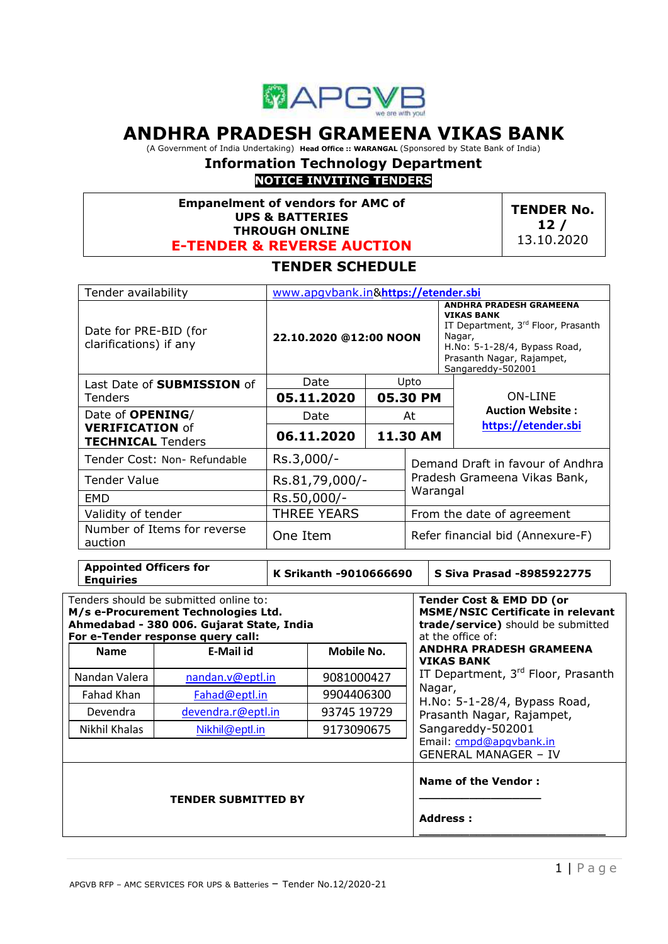

# **ANDHRA PRADESH GRAMEENA VIKAS BANK**

(A Government of India Undertaking) **Head Office :: WARANGAL** (Sponsored by State Bank of India)

# **Information Technology Department**

# **NOTICE INVITING TENDERS**

**Empanelment of vendors for AMC of UPS & BATTERIES THROUGH ONLINE E-TENDER & REVERSE AUCTION**

**TENDER No. 12 /** 13.10.2020

# **TENDER SCHEDULE**

| Tender availability                                | www.apqvbank.in&https://etender.sbi |                 |                                                                                                                                                                                       |                                  |
|----------------------------------------------------|-------------------------------------|-----------------|---------------------------------------------------------------------------------------------------------------------------------------------------------------------------------------|----------------------------------|
| Date for PRE-BID (for<br>clarifications) if any    | 22.10.2020 @12:00 NOON              |                 | <b>ANDHRA PRADESH GRAMEENA</b><br><b>VIKAS BANK</b><br>IT Department, 3rd Floor, Prasanth<br>Nagar,<br>H.No: 5-1-28/4, Bypass Road,<br>Prasanth Nagar, Rajampet,<br>Sangareddy-502001 |                                  |
| Last Date of <b>SUBMISSION</b> of                  | Date                                |                 | Upto                                                                                                                                                                                  |                                  |
| Tenders                                            | 05.11.2020                          |                 | 05.30 PM                                                                                                                                                                              | <b>ON-LINE</b>                   |
| Date of <b>OPENING</b> /                           | Date                                |                 | At                                                                                                                                                                                    | <b>Auction Website:</b>          |
| <b>VERIFICATION of</b><br><b>TECHNICAL Tenders</b> | 06.11.2020                          | <b>11.30 AM</b> |                                                                                                                                                                                       | https://etender.sbi              |
| Tender Cost: Non- Refundable                       | Rs.3,000/-                          |                 | Demand Draft in favour of Andhra                                                                                                                                                      |                                  |
| Tender Value                                       | Rs.81,79,000/-                      |                 | Pradesh Grameena Vikas Bank,                                                                                                                                                          |                                  |
| <b>EMD</b>                                         | Rs.50,000/-                         |                 | Warangal                                                                                                                                                                              |                                  |
| Validity of tender                                 | <b>THREE YEARS</b>                  |                 | From the date of agreement                                                                                                                                                            |                                  |
| Number of Items for reverse<br>auction             | One Item                            |                 |                                                                                                                                                                                       | Refer financial bid (Annexure-F) |

| APPOINTED DINEERS IDI<br><b>Enquiries</b>                                                                                                                       |                    | K Srikanth -9010666690 | S Siva Prasad -8985922775                                                                                                                  |
|-----------------------------------------------------------------------------------------------------------------------------------------------------------------|--------------------|------------------------|--------------------------------------------------------------------------------------------------------------------------------------------|
| Tenders should be submitted online to:<br>M/s e-Procurement Technologies Ltd.<br>Ahmedabad - 380 006. Gujarat State, India<br>For e-Tender response query call: |                    |                        | <b>Tender Cost &amp; EMD DD (or</b><br><b>MSME/NSIC Certificate in relevant</b><br>trade/service) should be submitted<br>at the office of: |
| <b>Name</b>                                                                                                                                                     | <b>E-Mail id</b>   | Mobile No.             | <b>ANDHRA PRADESH GRAMEENA</b><br><b>VIKAS BANK</b>                                                                                        |
| Nandan Valera                                                                                                                                                   | nandan.v@eptl.in   | 9081000427             | IT Department, 3rd Floor, Prasanth                                                                                                         |
| Fahad Khan                                                                                                                                                      | Fahad@eptl.in      | 9904406300             | Nagar,<br>H.No: 5-1-28/4, Bypass Road,                                                                                                     |
| Devendra                                                                                                                                                        | devendra.r@eptl.in | 93745 19729            | Prasanth Nagar, Rajampet,                                                                                                                  |
| Nikhil Khalas                                                                                                                                                   | Nikhil@eptl.in     | 9173090675             | Sangareddy-502001                                                                                                                          |
|                                                                                                                                                                 |                    |                        | Email: cmpd@apgvbank.in<br><b>GENERAL MANAGER - IV</b>                                                                                     |
| <b>TENDER SUBMITTED BY</b>                                                                                                                                      |                    |                        | <b>Name of the Vendor:</b><br><b>Address:</b>                                                                                              |
|                                                                                                                                                                 |                    |                        |                                                                                                                                            |

**Appointed Officers for**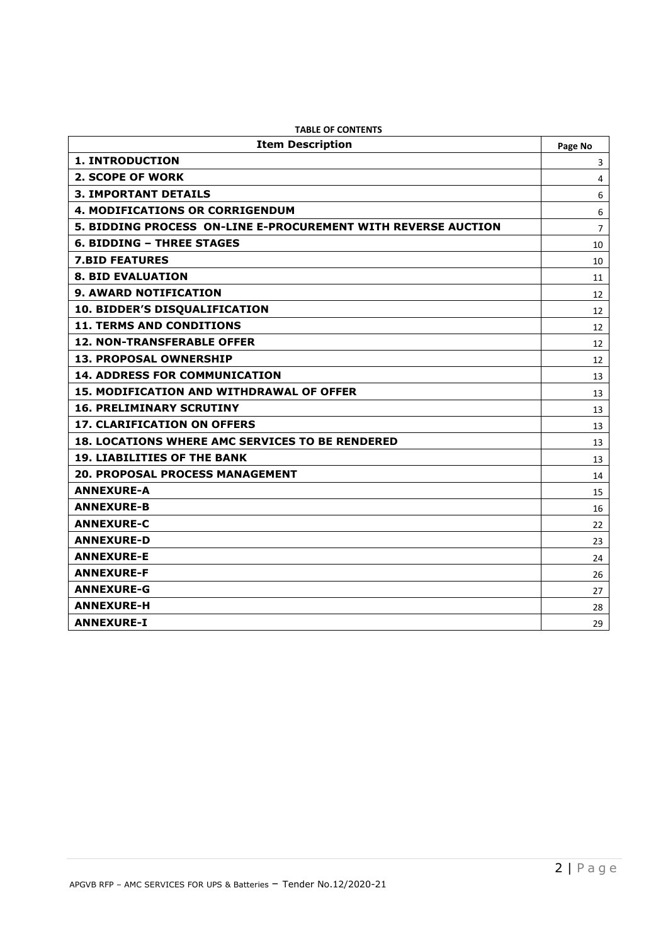| <b>Item Description</b>                                       | Page No |
|---------------------------------------------------------------|---------|
| <b>1. INTRODUCTION</b>                                        | 3       |
| 2. SCOPE OF WORK                                              | 4       |
| <b>3. IMPORTANT DETAILS</b>                                   | 6       |
| <b>4. MODIFICATIONS OR CORRIGENDUM</b>                        | 6       |
| 5. BIDDING PROCESS ON-LINE E-PROCUREMENT WITH REVERSE AUCTION | 7       |
| <b>6. BIDDING - THREE STAGES</b>                              | 10      |
| <b>7.BID FEATURES</b>                                         | 10      |
| <b>8. BID EVALUATION</b>                                      | 11      |
| <b>9. AWARD NOTIFICATION</b>                                  | 12      |
| 10. BIDDER'S DISQUALIFICATION                                 | 12      |
| <b>11. TERMS AND CONDITIONS</b>                               | 12      |
| <b>12. NON-TRANSFERABLE OFFER</b>                             | 12      |
| <b>13. PROPOSAL OWNERSHIP</b>                                 | 12      |
| <b>14. ADDRESS FOR COMMUNICATION</b>                          | 13      |
| <b>15. MODIFICATION AND WITHDRAWAL OF OFFER</b>               | 13      |
| <b>16. PRELIMINARY SCRUTINY</b>                               | 13      |
| <b>17. CLARIFICATION ON OFFERS</b>                            | 13      |
| <b>18. LOCATIONS WHERE AMC SERVICES TO BE RENDERED</b>        | 13      |
| <b>19. LIABILITIES OF THE BANK</b>                            | 13      |
| <b>20. PROPOSAL PROCESS MANAGEMENT</b>                        | 14      |
| <b>ANNEXURE-A</b>                                             | 15      |
| <b>ANNEXURE-B</b>                                             | 16      |
| <b>ANNEXURE-C</b>                                             | 22      |
| <b>ANNEXURE-D</b>                                             | 23      |
| <b>ANNEXURE-E</b>                                             | 24      |
| <b>ANNEXURE-F</b>                                             | 26      |
| <b>ANNEXURE-G</b>                                             | 27      |
| <b>ANNEXURE-H</b>                                             | 28      |
| <b>ANNEXURE-I</b>                                             | 29      |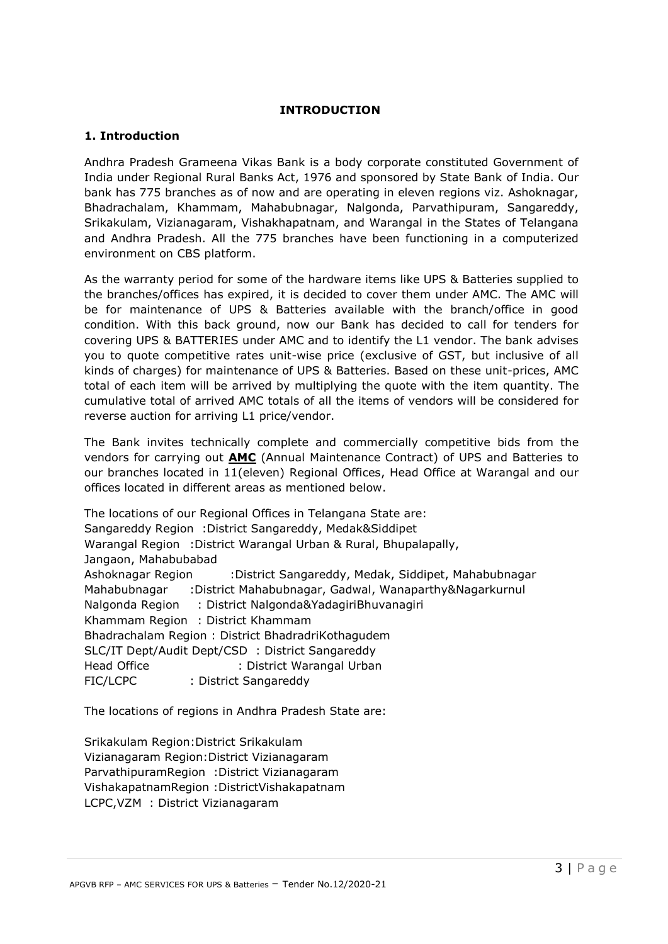#### **INTRODUCTION**

## **1. Introduction**

Andhra Pradesh Grameena Vikas Bank is a body corporate constituted Government of India under Regional Rural Banks Act, 1976 and sponsored by State Bank of India. Our bank has 775 branches as of now and are operating in eleven regions viz. Ashoknagar, Bhadrachalam, Khammam, Mahabubnagar, Nalgonda, Parvathipuram, Sangareddy, Srikakulam, Vizianagaram, Vishakhapatnam, and Warangal in the States of Telangana and Andhra Pradesh. All the 775 branches have been functioning in a computerized environment on CBS platform.

As the warranty period for some of the hardware items like UPS & Batteries supplied to the branches/offices has expired, it is decided to cover them under AMC. The AMC will be for maintenance of UPS & Batteries available with the branch/office in good condition. With this back ground, now our Bank has decided to call for tenders for covering UPS & BATTERIES under AMC and to identify the L1 vendor. The bank advises you to quote competitive rates unit-wise price (exclusive of GST, but inclusive of all kinds of charges) for maintenance of UPS & Batteries. Based on these unit-prices, AMC total of each item will be arrived by multiplying the quote with the item quantity. The cumulative total of arrived AMC totals of all the items of vendors will be considered for reverse auction for arriving L1 price/vendor.

The Bank invites technically complete and commercially competitive bids from the vendors for carrying out **AMC** (Annual Maintenance Contract) of UPS and Batteries to our branches located in 11(eleven) Regional Offices, Head Office at Warangal and our offices located in different areas as mentioned below.

The locations of our Regional Offices in Telangana State are: Sangareddy Region :District Sangareddy, Medak&Siddipet Warangal Region :District Warangal Urban & Rural, Bhupalapally, Jangaon, Mahabubabad Ashoknagar Region :District Sangareddy, Medak, Siddipet, Mahabubnagar Mahabubnagar :District Mahabubnagar, Gadwal, Wanaparthy&Nagarkurnul Nalgonda Region : District Nalgonda&YadagiriBhuvanagiri Khammam Region : District Khammam Bhadrachalam Region : District BhadradriKothagudem SLC/IT Dept/Audit Dept/CSD : District Sangareddy Head Office : District Warangal Urban FIC/LCPC : District Sangareddy

The locations of regions in Andhra Pradesh State are:

Srikakulam Region:District Srikakulam Vizianagaram Region:District Vizianagaram ParvathipuramRegion :District Vizianagaram VishakapatnamRegion :DistrictVishakapatnam LCPC,VZM : District Vizianagaram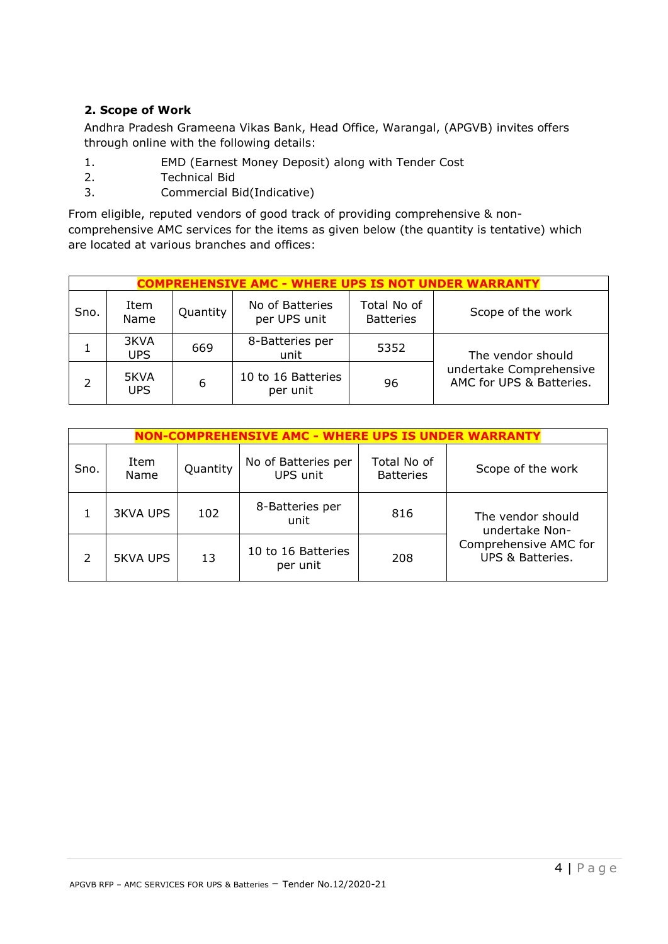## **2. Scope of Work**

Andhra Pradesh Grameena Vikas Bank, Head Office, Warangal, (APGVB) invites offers through online with the following details:

- 1. EMD (Earnest Money Deposit) along with Tender Cost
- 2. Technical Bid
- 3. Commercial Bid(Indicative)

From eligible, reputed vendors of good track of providing comprehensive & noncomprehensive AMC services for the items as given below (the quantity is tentative) which are located at various branches and offices:

|      | <b>COMPREHENSIVE AMC - WHERE UPS IS NOT UNDER WARRANTY</b> |          |                                 |                                 |                                                     |
|------|------------------------------------------------------------|----------|---------------------------------|---------------------------------|-----------------------------------------------------|
| Sno. | Item<br>Name                                               | Quantity | No of Batteries<br>per UPS unit | Total No of<br><b>Batteries</b> | Scope of the work                                   |
|      | 3KVA<br><b>UPS</b>                                         | 669      | 8-Batteries per<br>unit         | 5352                            | The vendor should                                   |
|      | 5KVA<br><b>UPS</b>                                         | 6        | 10 to 16 Batteries<br>per unit  | 96                              | undertake Comprehensive<br>AMC for UPS & Batteries. |

|      | NON-COMPREHENSIVE AMC - WHERE UPS IS UNDER WARRANT' |          |                                 |                                 |                                           |
|------|-----------------------------------------------------|----------|---------------------------------|---------------------------------|-------------------------------------------|
| Sno. | Item<br>Name                                        | Quantity | No of Batteries per<br>UPS unit | Total No of<br><b>Batteries</b> | Scope of the work                         |
|      | <b>3KVA UPS</b>                                     | 102      | 8-Batteries per<br>unit         | 816                             | The vendor should<br>undertake Non-       |
|      | <b>5KVA UPS</b>                                     | 13       | 10 to 16 Batteries<br>per unit  | 208                             | Comprehensive AMC for<br>UPS & Batteries. |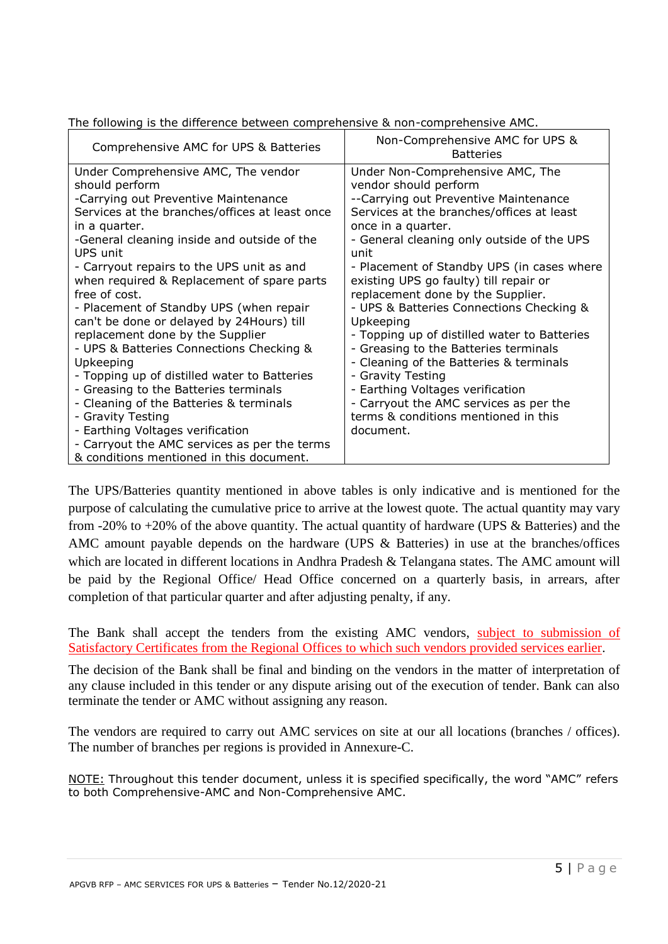| Comprehensive AMC for UPS & Batteries                                                                                                                                                                                                                                                                                                                                                                                                                                                                                                                                                                                                                                                                                                                                                                                 | Non-Comprehensive AMC for UPS &<br><b>Batteries</b>                                                                                                                                                                                                                                                                                                                                                                                                                                                                                                                                                                                                                                                           |
|-----------------------------------------------------------------------------------------------------------------------------------------------------------------------------------------------------------------------------------------------------------------------------------------------------------------------------------------------------------------------------------------------------------------------------------------------------------------------------------------------------------------------------------------------------------------------------------------------------------------------------------------------------------------------------------------------------------------------------------------------------------------------------------------------------------------------|---------------------------------------------------------------------------------------------------------------------------------------------------------------------------------------------------------------------------------------------------------------------------------------------------------------------------------------------------------------------------------------------------------------------------------------------------------------------------------------------------------------------------------------------------------------------------------------------------------------------------------------------------------------------------------------------------------------|
| Under Comprehensive AMC, The vendor<br>should perform<br>-Carrying out Preventive Maintenance<br>Services at the branches/offices at least once<br>in a quarter.<br>-General cleaning inside and outside of the<br>UPS unit<br>- Carryout repairs to the UPS unit as and<br>when required & Replacement of spare parts<br>free of cost.<br>- Placement of Standby UPS (when repair<br>can't be done or delayed by 24Hours) till<br>replacement done by the Supplier<br>- UPS & Batteries Connections Checking &<br>Upkeeping<br>- Topping up of distilled water to Batteries<br>- Greasing to the Batteries terminals<br>- Cleaning of the Batteries & terminals<br>- Gravity Testing<br>- Earthing Voltages verification<br>- Carryout the AMC services as per the terms<br>& conditions mentioned in this document. | Under Non-Comprehensive AMC, The<br>vendor should perform<br>--Carrying out Preventive Maintenance<br>Services at the branches/offices at least<br>once in a quarter.<br>- General cleaning only outside of the UPS<br>unit<br>- Placement of Standby UPS (in cases where<br>existing UPS go faulty) till repair or<br>replacement done by the Supplier.<br>- UPS & Batteries Connections Checking &<br>Upkeeping<br>- Topping up of distilled water to Batteries<br>- Greasing to the Batteries terminals<br>- Cleaning of the Batteries & terminals<br>- Gravity Testing<br>- Earthing Voltages verification<br>- Carryout the AMC services as per the<br>terms & conditions mentioned in this<br>document. |

The following is the difference between comprehensive & non-comprehensive AMC.

The UPS/Batteries quantity mentioned in above tables is only indicative and is mentioned for the purpose of calculating the cumulative price to arrive at the lowest quote. The actual quantity may vary from -20% to  $+20\%$  of the above quantity. The actual quantity of hardware (UPS & Batteries) and the AMC amount payable depends on the hardware (UPS & Batteries) in use at the branches/offices which are located in different locations in Andhra Pradesh & Telangana states. The AMC amount will be paid by the Regional Office/ Head Office concerned on a quarterly basis, in arrears, after completion of that particular quarter and after adjusting penalty, if any.

The Bank shall accept the tenders from the existing AMC vendors, subject to submission of Satisfactory Certificates from the Regional Offices to which such vendors provided services earlier.

The decision of the Bank shall be final and binding on the vendors in the matter of interpretation of any clause included in this tender or any dispute arising out of the execution of tender. Bank can also terminate the tender or AMC without assigning any reason.

The vendors are required to carry out AMC services on site at our all locations (branches / offices). The number of branches per regions is provided in Annexure-C.

NOTE: Throughout this tender document, unless it is specified specifically, the word "AMC" refers to both Comprehensive-AMC and Non-Comprehensive AMC.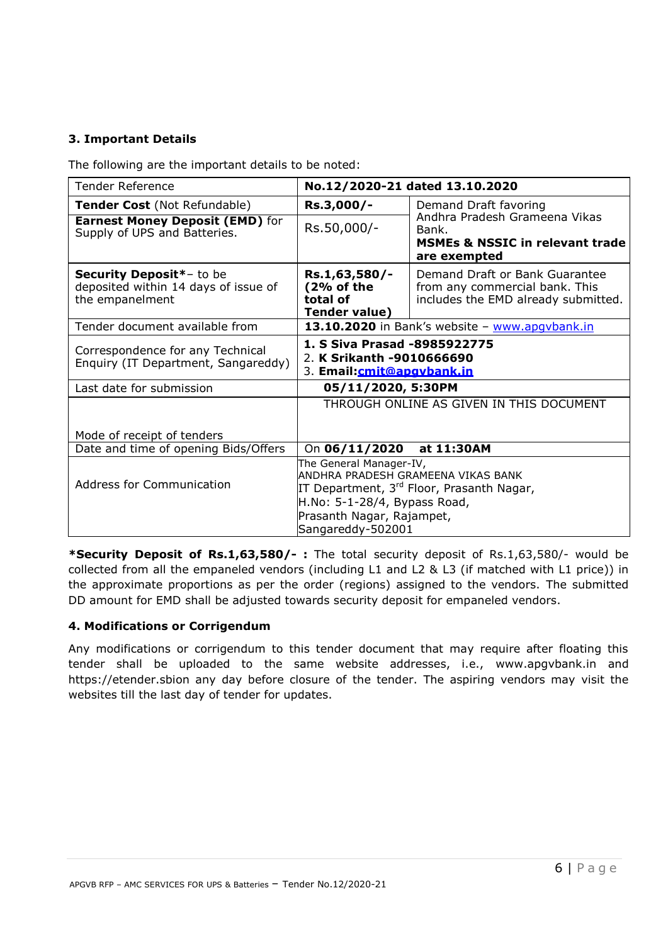# **3. Important Details**

The following are the important details to be noted:

| <b>Tender Reference</b>                                                             | No.12/2020-21 dated 13.10.2020                                                                            |                                                                                                         |  |  |
|-------------------------------------------------------------------------------------|-----------------------------------------------------------------------------------------------------------|---------------------------------------------------------------------------------------------------------|--|--|
| <b>Tender Cost</b> (Not Refundable)                                                 | Rs.3,000/-                                                                                                | Demand Draft favoring                                                                                   |  |  |
| <b>Earnest Money Deposit (EMD)</b> for<br>Supply of UPS and Batteries.              | Rs.50,000/-                                                                                               | Andhra Pradesh Grameena Vikas<br>Bank.<br><b>MSMEs &amp; NSSIC in relevant trade</b><br>are exempted    |  |  |
| Security Deposit*- to be<br>deposited within 14 days of issue of<br>the empanelment | Rs.1,63,580/-<br>(2% of the<br>total of<br><b>Tender value)</b>                                           | Demand Draft or Bank Guarantee<br>from any commercial bank. This<br>includes the EMD already submitted. |  |  |
| Tender document available from                                                      |                                                                                                           | 13.10.2020 in Bank's website - www.apqvbank.in                                                          |  |  |
| Correspondence for any Technical<br>Enquiry (IT Department, Sangareddy)             | 1. S Siva Prasad -8985922775<br>2. K Srikanth -9010666690<br>3. Email:cmit@apgybank.in                    |                                                                                                         |  |  |
| Last date for submission                                                            | 05/11/2020, 5:30PM                                                                                        |                                                                                                         |  |  |
| Mode of receipt of tenders                                                          |                                                                                                           | THROUGH ONLINE AS GIVEN IN THIS DOCUMENT                                                                |  |  |
| Date and time of opening Bids/Offers                                                | On 06/11/2020 at 11:30AM                                                                                  |                                                                                                         |  |  |
| <b>Address for Communication</b>                                                    | The General Manager-IV,<br>H.No: 5-1-28/4, Bypass Road,<br>Prasanth Nagar, Rajampet,<br>Sangareddy-502001 | ANDHRA PRADESH GRAMEENA VIKAS BANK<br>IT Department, 3 <sup>rd</sup> Floor, Prasanth Nagar,             |  |  |

**\*Security Deposit of Rs.1,63,580/- :** The total security deposit of Rs.1,63,580/- would be collected from all the empaneled vendors (including L1 and L2 & L3 (if matched with L1 price)) in the approximate proportions as per the order (regions) assigned to the vendors. The submitted DD amount for EMD shall be adjusted towards security deposit for empaneled vendors.

## **4. Modifications or Corrigendum**

Any modifications or corrigendum to this tender document that may require after floating this tender shall be uploaded to the same website addresses, i.e., [www.apgvbank.in](http://www.apgvbank.in/) and https://etender.sbion any day before closure of the tender. The aspiring vendors may visit the websites till the last day of tender for updates.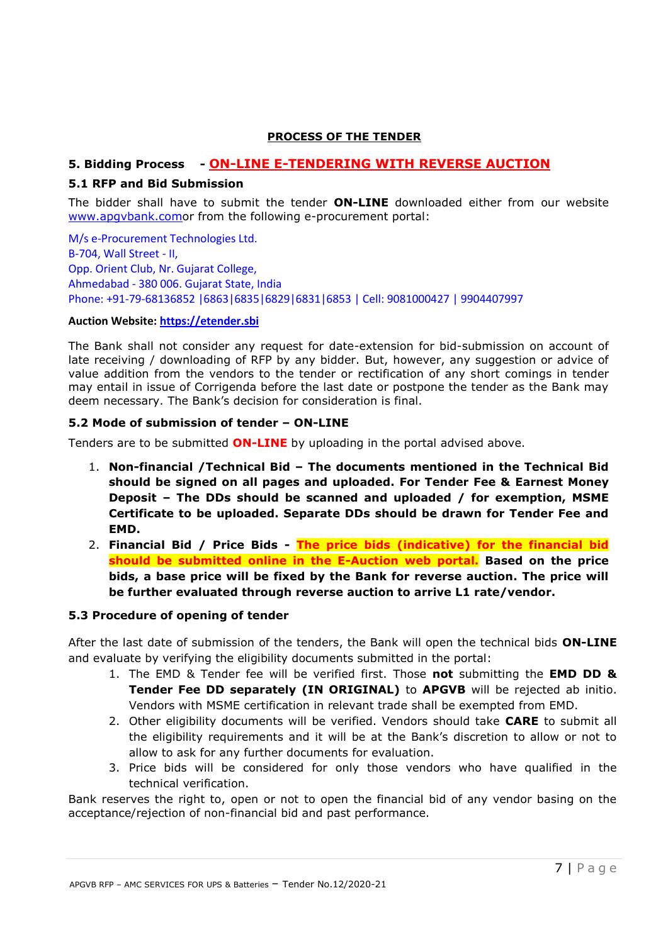#### **PROCESS OF THE TENDER**

# **5. Bidding Process - ON-LINE E-TENDERING WITH REVERSE AUCTION**

#### **5.1 RFP and Bid Submission**

The bidder shall have to submit the tender **ON-LINE** downloaded either from our website [www.apgvbank.como](http://www.apgvbank.com/)r from the following e-procurement portal:

M/s e-Procurement Technologies Ltd. B-704, Wall Street - II, Opp. Orient Club, Nr. Gujarat College, Ahmedabad - 380 006. Gujarat State, India Phone: +91-79-68136852 |6863|6835|6829|6831|6853 | Cell: 9081000427 | 9904407997

#### **Auction Website: [https://etender.sbi](https://etender.sbi/)**

The Bank shall not consider any request for date-extension for bid-submission on account of late receiving / downloading of RFP by any bidder. But, however, any suggestion or advice of value addition from the vendors to the tender or rectification of any short comings in tender may entail in issue of Corrigenda before the last date or postpone the tender as the Bank may deem necessary. The Bank's decision for consideration is final.

#### **5.2 Mode of submission of tender – ON-LINE**

Tenders are to be submitted **ON-LINE** by uploading in the portal advised above.

- 1. **Non-financial /Technical Bid – The documents mentioned in the Technical Bid should be signed on all pages and uploaded. For Tender Fee & Earnest Money Deposit – The DDs should be scanned and uploaded / for exemption, MSME Certificate to be uploaded. Separate DDs should be drawn for Tender Fee and EMD.**
- 2. **Financial Bid / Price Bids - The price bids (indicative) for the financial bid should be submitted online in the E-Auction web portal. Based on the price bids, a base price will be fixed by the Bank for reverse auction. The price will be further evaluated through reverse auction to arrive L1 rate/vendor.**

#### **5.3 Procedure of opening of tender**

After the last date of submission of the tenders, the Bank will open the technical bids **ON-LINE** and evaluate by verifying the eligibility documents submitted in the portal:

- 1. The EMD & Tender fee will be verified first. Those **not** submitting the **EMD DD & Tender Fee DD separately (IN ORIGINAL)** to **APGVB** will be rejected ab initio. Vendors with MSME certification in relevant trade shall be exempted from EMD.
- 2. Other eligibility documents will be verified. Vendors should take **CARE** to submit all the eligibility requirements and it will be at the Bank's discretion to allow or not to allow to ask for any further documents for evaluation.
- 3. Price bids will be considered for only those vendors who have qualified in the technical verification.

Bank reserves the right to, open or not to open the financial bid of any vendor basing on the acceptance/rejection of non-financial bid and past performance.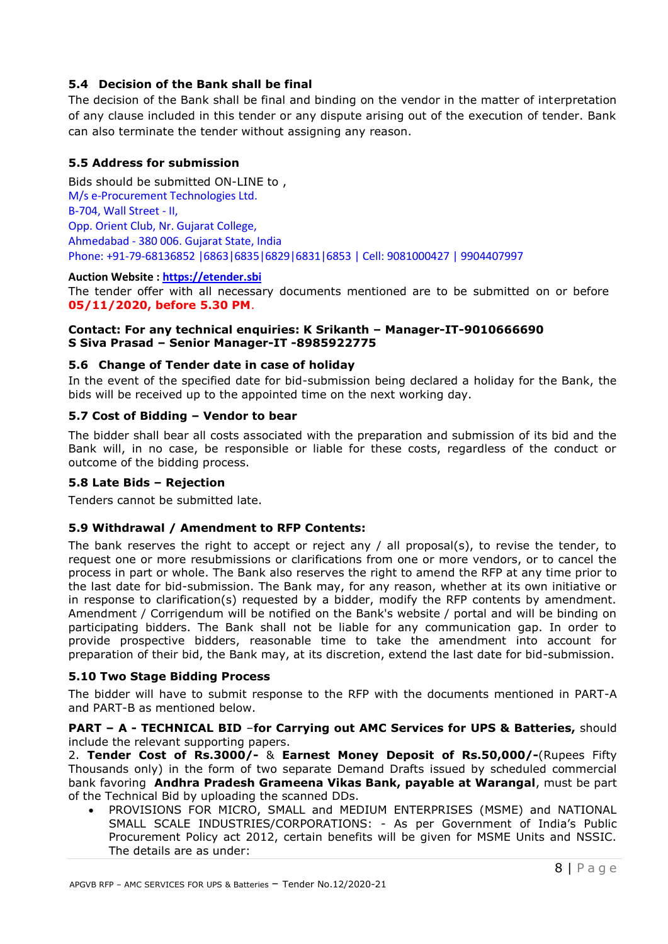## **5.4 Decision of the Bank shall be final**

The decision of the Bank shall be final and binding on the vendor in the matter of interpretation of any clause included in this tender or any dispute arising out of the execution of tender. Bank can also terminate the tender without assigning any reason.

## **5.5 Address for submission**

Bids should be submitted ON-LINE to , M/s e-Procurement Technologies Ltd. B-704, Wall Street - II, Opp. Orient Club, Nr. Gujarat College, Ahmedabad - 380 006. Gujarat State, India Phone: +91-79-68136852 |6863|6835|6829|6831|6853 | Cell: 9081000427 | 9904407997

## **Auction Website : [https://etender.sbi](https://etender.sbi/)**

The tender offer with all necessary documents mentioned are to be submitted on or before **05/11/2020, before 5.30 PM**.

## **Contact: For any technical enquiries: K Srikanth – Manager-IT-9010666690 S Siva Prasad – Senior Manager-IT -8985922775**

## **5.6 Change of Tender date in case of holiday**

In the event of the specified date for bid-submission being declared a holiday for the Bank, the bids will be received up to the appointed time on the next working day.

## **5.7 Cost of Bidding – Vendor to bear**

The bidder shall bear all costs associated with the preparation and submission of its bid and the Bank will, in no case, be responsible or liable for these costs, regardless of the conduct or outcome of the bidding process.

#### **5.8 Late Bids – Rejection**

Tenders cannot be submitted late.

#### **5.9 Withdrawal / Amendment to RFP Contents:**

The bank reserves the right to accept or reject any / all proposal(s), to revise the tender, to request one or more resubmissions or clarifications from one or more vendors, or to cancel the process in part or whole. The Bank also reserves the right to amend the RFP at any time prior to the last date for bid-submission. The Bank may, for any reason, whether at its own initiative or in response to clarification(s) requested by a bidder, modify the RFP contents by amendment. Amendment / Corrigendum will be notified on the Bank's website / portal and will be binding on participating bidders. The Bank shall not be liable for any communication gap. In order to provide prospective bidders, reasonable time to take the amendment into account for preparation of their bid, the Bank may, at its discretion, extend the last date for bid-submission.

## **5.10 Two Stage Bidding Process**

The bidder will have to submit response to the RFP with the documents mentioned in PART-A and PART-B as mentioned below.

#### **PART – A - TECHNICAL BID** –**for Carrying out AMC Services for UPS & Batteries,** should include the relevant supporting papers.

2. **Tender Cost of Rs.3000/-** & **Earnest Money Deposit of Rs.50,000/-**(Rupees Fifty Thousands only) in the form of two separate Demand Drafts issued by scheduled commercial bank favoring **Andhra Pradesh Grameena Vikas Bank, payable at Warangal**, must be part of the Technical Bid by uploading the scanned DDs.

 PROVISIONS FOR MICRO, SMALL and MEDIUM ENTERPRISES (MSME) and NATIONAL SMALL SCALE INDUSTRIES/CORPORATIONS: - As per Government of India's Public Procurement Policy act 2012, certain benefits will be given for MSME Units and NSSIC. The details are as under: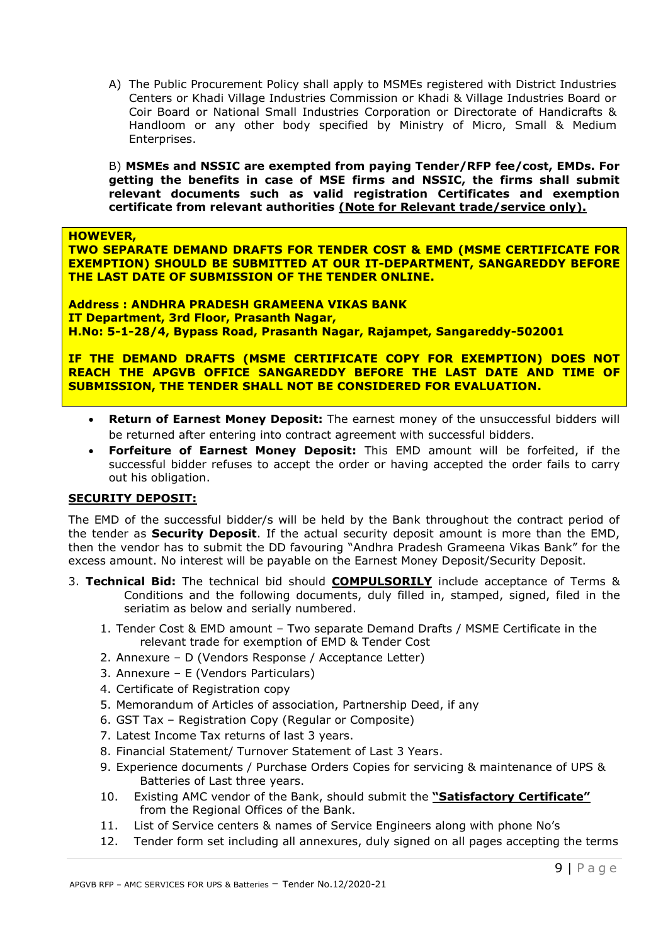A) The Public Procurement Policy shall apply to MSMEs registered with District Industries Centers or Khadi Village Industries Commission or Khadi & Village Industries Board or Coir Board or National Small Industries Corporation or Directorate of Handicrafts & Handloom or any other body specified by Ministry of Micro, Small & Medium Enterprises.

B) **MSMEs and NSSIC are exempted from paying Tender/RFP fee/cost, EMDs. For getting the benefits in case of MSE firms and NSSIC, the firms shall submit relevant documents such as valid registration Certificates and exemption certificate from relevant authorities (Note for Relevant trade/service only).**

**HOWEVER,** 

**TWO SEPARATE DEMAND DRAFTS FOR TENDER COST & EMD (MSME CERTIFICATE FOR EXEMPTION) SHOULD BE SUBMITTED AT OUR IT-DEPARTMENT, SANGAREDDY BEFORE THE LAST DATE OF SUBMISSION OF THE TENDER ONLINE.**

**Address : ANDHRA PRADESH GRAMEENA VIKAS BANK IT Department, 3rd Floor, Prasanth Nagar, H.No: 5-1-28/4, Bypass Road, Prasanth Nagar, Rajampet, Sangareddy-502001**

**IF THE DEMAND DRAFTS (MSME CERTIFICATE COPY FOR EXEMPTION) DOES NOT REACH THE APGVB OFFICE SANGAREDDY BEFORE THE LAST DATE AND TIME OF SUBMISSION, THE TENDER SHALL NOT BE CONSIDERED FOR EVALUATION.**

- **Return of Earnest Money Deposit:** The earnest money of the unsuccessful bidders will be returned after entering into contract agreement with successful bidders.
- **Forfeiture of Earnest Money Deposit:** This EMD amount will be forfeited, if the successful bidder refuses to accept the order or having accepted the order fails to carry out his obligation.

#### **SECURITY DEPOSIT:**

The EMD of the successful bidder/s will be held by the Bank throughout the contract period of the tender as **Security Deposit**. If the actual security deposit amount is more than the EMD, then the vendor has to submit the DD favouring "Andhra Pradesh Grameena Vikas Bank" for the excess amount. No interest will be payable on the Earnest Money Deposit/Security Deposit.

- 3. **Technical Bid:** The technical bid should **COMPULSORILY** include acceptance of Terms & Conditions and the following documents, duly filled in, stamped, signed, filed in the seriatim as below and serially numbered.
	- 1. Tender Cost & EMD amount Two separate Demand Drafts / MSME Certificate in the relevant trade for exemption of EMD & Tender Cost
	- 2. Annexure D (Vendors Response / Acceptance Letter)
	- 3. Annexure E (Vendors Particulars)
	- 4. Certificate of Registration copy
	- 5. Memorandum of Articles of association, Partnership Deed, if any
	- 6. GST Tax Registration Copy (Regular or Composite)
	- 7. Latest Income Tax returns of last 3 years.
	- 8. Financial Statement/ Turnover Statement of Last 3 Years.
	- 9. Experience documents / Purchase Orders Copies for servicing & maintenance of UPS & Batteries of Last three years.
	- 10. Existing AMC vendor of the Bank, should submit the **"Satisfactory Certificate"** from the Regional Offices of the Bank.
	- 11. List of Service centers & names of Service Engineers along with phone No's
	- 12. Tender form set including all annexures, duly signed on all pages accepting the terms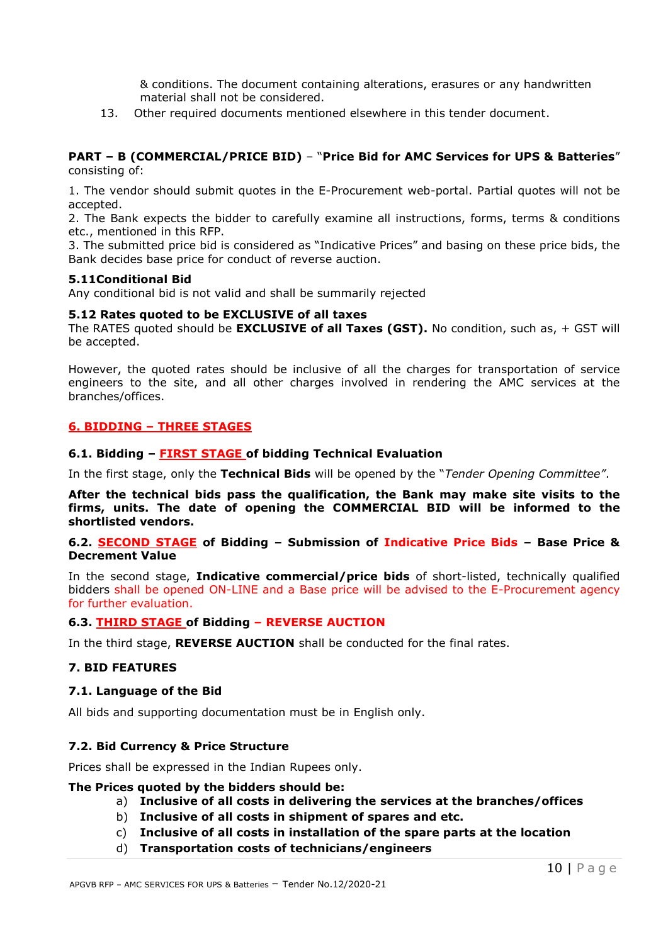& conditions. The document containing alterations, erasures or any handwritten material shall not be considered.

13. Other required documents mentioned elsewhere in this tender document.

#### **PART – B (COMMERCIAL/PRICE BID)** – "**Price Bid for AMC Services for UPS & Batteries**" consisting of:

1. The vendor should submit quotes in the E-Procurement web-portal. Partial quotes will not be accepted.

2. The Bank expects the bidder to carefully examine all instructions, forms, terms & conditions etc., mentioned in this RFP.

3. The submitted price bid is considered as "Indicative Prices" and basing on these price bids, the Bank decides base price for conduct of reverse auction.

#### **5.11Conditional Bid**

Any conditional bid is not valid and shall be summarily rejected

#### **5.12 Rates quoted to be EXCLUSIVE of all taxes**

The RATES quoted should be **EXCLUSIVE of all Taxes (GST).** No condition, such as, + GST will be accepted.

However, the quoted rates should be inclusive of all the charges for transportation of service engineers to the site, and all other charges involved in rendering the AMC services at the branches/offices.

## **6. BIDDING – THREE STAGES**

#### **6.1. Bidding – FIRST STAGE of bidding Technical Evaluation**

In the first stage, only the **Technical Bids** will be opened by the "*Tender Opening Committee"*.

**After the technical bids pass the qualification, the Bank may make site visits to the firms, units. The date of opening the COMMERCIAL BID will be informed to the shortlisted vendors.**

#### **6.2. SECOND STAGE of Bidding – Submission of Indicative Price Bids – Base Price & Decrement Value**

In the second stage, **Indicative commercial/price bids** of short-listed, technically qualified bidders shall be opened ON-LINE and a Base price will be advised to the E-Procurement agency for further evaluation.

#### **6.3. THIRD STAGE of Bidding – REVERSE AUCTION**

In the third stage, **REVERSE AUCTION** shall be conducted for the final rates.

#### **7. BID FEATURES**

#### **7.1. Language of the Bid**

All bids and supporting documentation must be in English only.

#### **7.2. Bid Currency & Price Structure**

Prices shall be expressed in the Indian Rupees only.

#### **The Prices quoted by the bidders should be:**

#### a) **Inclusive of all costs in delivering the services at the branches/offices**

- b) **Inclusive of all costs in shipment of spares and etc.**
- c) **Inclusive of all costs in installation of the spare parts at the location**
- d) **Transportation costs of technicians/engineers**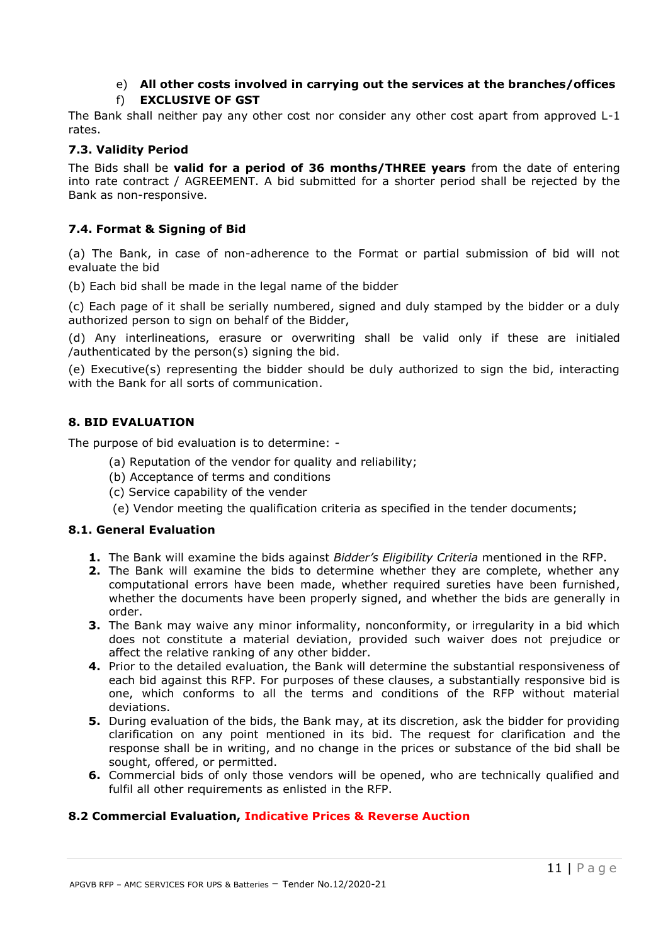# e) **All other costs involved in carrying out the services at the branches/offices**

f) **EXCLUSIVE OF GST**

The Bank shall neither pay any other cost nor consider any other cost apart from approved L-1 rates.

## **7.3. Validity Period**

The Bids shall be **valid for a period of 36 months/THREE years** from the date of entering into rate contract / AGREEMENT. A bid submitted for a shorter period shall be rejected by the Bank as non-responsive.

# **7.4. Format & Signing of Bid**

(a) The Bank, in case of non-adherence to the Format or partial submission of bid will not evaluate the bid

(b) Each bid shall be made in the legal name of the bidder

(c) Each page of it shall be serially numbered, signed and duly stamped by the bidder or a duly authorized person to sign on behalf of the Bidder,

(d) Any interlineations, erasure or overwriting shall be valid only if these are initialed /authenticated by the person(s) signing the bid.

(e) Executive(s) representing the bidder should be duly authorized to sign the bid, interacting with the Bank for all sorts of communication.

## **8. BID EVALUATION**

The purpose of bid evaluation is to determine: -

- (a) Reputation of the vendor for quality and reliability;
- (b) Acceptance of terms and conditions
- (c) Service capability of the vender
- (e) Vendor meeting the qualification criteria as specified in the tender documents;

#### **8.1. General Evaluation**

- **1.** The Bank will examine the bids against *Bidder's Eligibility Criteria* mentioned in the RFP.
- **2.** The Bank will examine the bids to determine whether they are complete, whether any computational errors have been made, whether required sureties have been furnished, whether the documents have been properly signed, and whether the bids are generally in order.
- **3.** The Bank may waive any minor informality, nonconformity, or irregularity in a bid which does not constitute a material deviation, provided such waiver does not prejudice or affect the relative ranking of any other bidder.
- **4.** Prior to the detailed evaluation, the Bank will determine the substantial responsiveness of each bid against this RFP. For purposes of these clauses, a substantially responsive bid is one, which conforms to all the terms and conditions of the RFP without material deviations.
- **5.** During evaluation of the bids, the Bank may, at its discretion, ask the bidder for providing clarification on any point mentioned in its bid. The request for clarification and the response shall be in writing, and no change in the prices or substance of the bid shall be sought, offered, or permitted.
- **6.** Commercial bids of only those vendors will be opened, who are technically qualified and fulfil all other requirements as enlisted in the RFP.

## **8.2 Commercial Evaluation, Indicative Prices & Reverse Auction**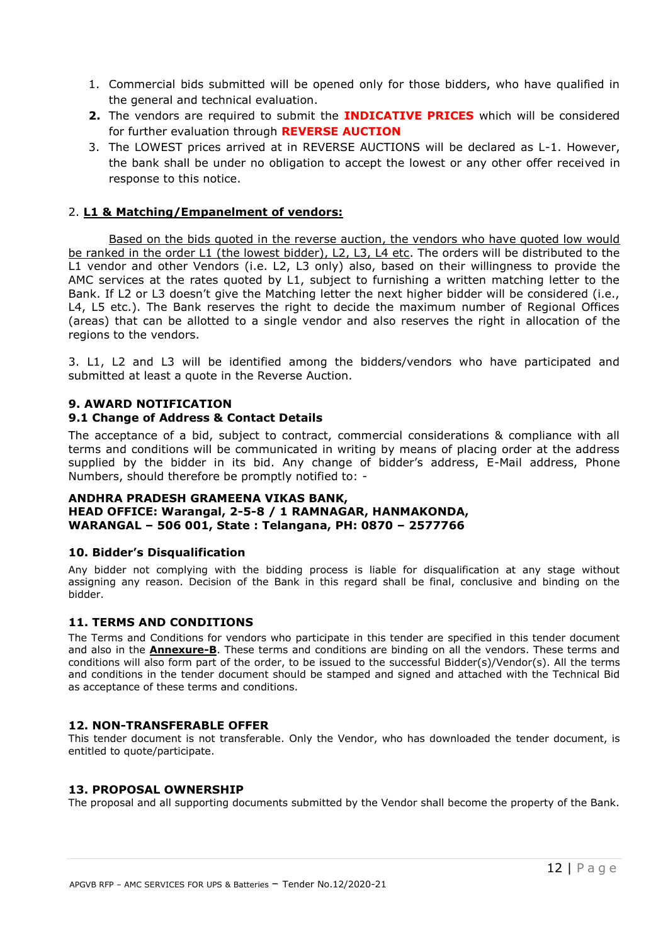- 1. Commercial bids submitted will be opened only for those bidders, who have qualified in the general and technical evaluation.
- **2.** The vendors are required to submit the **INDICATIVE PRICES** which will be considered for further evaluation through **REVERSE AUCTION**
- 3. The LOWEST prices arrived at in REVERSE AUCTIONS will be declared as L-1. However, the bank shall be under no obligation to accept the lowest or any other offer received in response to this notice.

#### 2. **L1 & Matching/Empanelment of vendors:**

Based on the bids quoted in the reverse auction, the vendors who have quoted low would be ranked in the order L1 (the lowest bidder), L2, L3, L4 etc. The orders will be distributed to the L1 vendor and other Vendors (i.e. L2, L3 only) also, based on their willingness to provide the AMC services at the rates quoted by L1, subject to furnishing a written matching letter to the Bank. If L2 or L3 doesn't give the Matching letter the next higher bidder will be considered (i.e., L4, L5 etc.). The Bank reserves the right to decide the maximum number of Regional Offices (areas) that can be allotted to a single vendor and also reserves the right in allocation of the regions to the vendors.

3. L1, L2 and L3 will be identified among the bidders/vendors who have participated and submitted at least a quote in the Reverse Auction.

## **9. AWARD NOTIFICATION**

## **9.1 Change of Address & Contact Details**

The acceptance of a bid, subject to contract, commercial considerations & compliance with all terms and conditions will be communicated in writing by means of placing order at the address supplied by the bidder in its bid. Any change of bidder's address, E-Mail address, Phone Numbers, should therefore be promptly notified to: -

#### **ANDHRA PRADESH GRAMEENA VIKAS BANK, HEAD OFFICE: Warangal, 2-5-8 / 1 RAMNAGAR, HANMAKONDA, WARANGAL – 506 001, State : Telangana, PH: 0870 – 2577766**

#### **10. Bidder's Disqualification**

Any bidder not complying with the bidding process is liable for disqualification at any stage without assigning any reason. Decision of the Bank in this regard shall be final, conclusive and binding on the bidder.

#### **11. TERMS AND CONDITIONS**

The Terms and Conditions for vendors who participate in this tender are specified in this tender document and also in the **Annexure-B**. These terms and conditions are binding on all the vendors. These terms and conditions will also form part of the order, to be issued to the successful Bidder(s)/Vendor(s). All the terms and conditions in the tender document should be stamped and signed and attached with the Technical Bid as acceptance of these terms and conditions.

#### **12. NON-TRANSFERABLE OFFER**

This tender document is not transferable. Only the Vendor, who has downloaded the tender document, is entitled to quote/participate.

#### **13. PROPOSAL OWNERSHIP**

The proposal and all supporting documents submitted by the Vendor shall become the property of the Bank.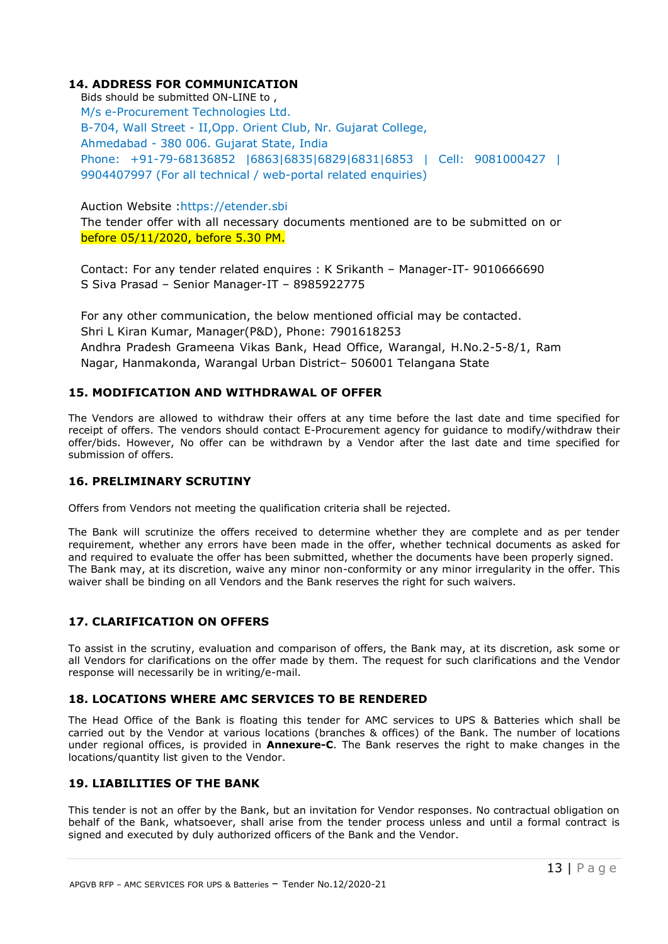## **14. ADDRESS FOR COMMUNICATION**

Bids should be submitted ON-LINE to , M/s e-Procurement Technologies Ltd. B-704, Wall Street - II,Opp. Orient Club, Nr. Gujarat College, Ahmedabad - 380 006. Gujarat State, India Phone: +91-79-68136852 |6863|6835|6829|6831|6853 | Cell: 9081000427 | 9904407997 (For all technical / web-portal related enquiries)

Auction Website :https://etender.sbi

The tender offer with all necessary documents mentioned are to be submitted on or before 05/11/2020, before 5.30 PM.

Contact: For any tender related enquires : K Srikanth – Manager-IT- 9010666690 S Siva Prasad – Senior Manager-IT – 8985922775

For any other communication, the below mentioned official may be contacted. Shri L Kiran Kumar, Manager(P&D), Phone: 7901618253 Andhra Pradesh Grameena Vikas Bank, Head Office, Warangal, H.No.2-5-8/1, Ram Nagar, Hanmakonda, Warangal Urban District– 506001 Telangana State

## **15. MODIFICATION AND WITHDRAWAL OF OFFER**

The Vendors are allowed to withdraw their offers at any time before the last date and time specified for receipt of offers. The vendors should contact E-Procurement agency for guidance to modify/withdraw their offer/bids. However, No offer can be withdrawn by a Vendor after the last date and time specified for submission of offers.

#### **16. PRELIMINARY SCRUTINY**

Offers from Vendors not meeting the qualification criteria shall be rejected.

The Bank will scrutinize the offers received to determine whether they are complete and as per tender requirement, whether any errors have been made in the offer, whether technical documents as asked for and required to evaluate the offer has been submitted, whether the documents have been properly signed. The Bank may, at its discretion, waive any minor non-conformity or any minor irregularity in the offer. This waiver shall be binding on all Vendors and the Bank reserves the right for such waivers.

#### **17. CLARIFICATION ON OFFERS**

To assist in the scrutiny, evaluation and comparison of offers, the Bank may, at its discretion, ask some or all Vendors for clarifications on the offer made by them. The request for such clarifications and the Vendor response will necessarily be in writing/e-mail.

#### **18. LOCATIONS WHERE AMC SERVICES TO BE RENDERED**

The Head Office of the Bank is floating this tender for AMC services to UPS & Batteries which shall be carried out by the Vendor at various locations (branches & offices) of the Bank. The number of locations under regional offices, is provided in **Annexure-C**. The Bank reserves the right to make changes in the locations/quantity list given to the Vendor.

#### **19. LIABILITIES OF THE BANK**

This tender is not an offer by the Bank, but an invitation for Vendor responses. No contractual obligation on behalf of the Bank, whatsoever, shall arise from the tender process unless and until a formal contract is signed and executed by duly authorized officers of the Bank and the Vendor.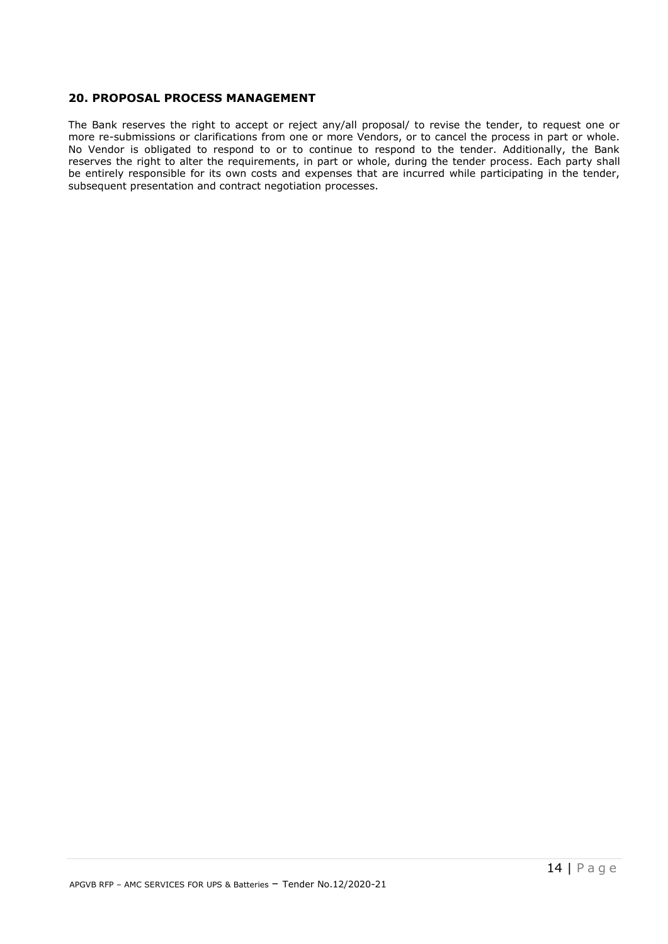#### **20. PROPOSAL PROCESS MANAGEMENT**

The Bank reserves the right to accept or reject any/all proposal/ to revise the tender, to request one or more re-submissions or clarifications from one or more Vendors, or to cancel the process in part or whole. No Vendor is obligated to respond to or to continue to respond to the tender. Additionally, the Bank reserves the right to alter the requirements, in part or whole, during the tender process. Each party shall be entirely responsible for its own costs and expenses that are incurred while participating in the tender, subsequent presentation and contract negotiation processes.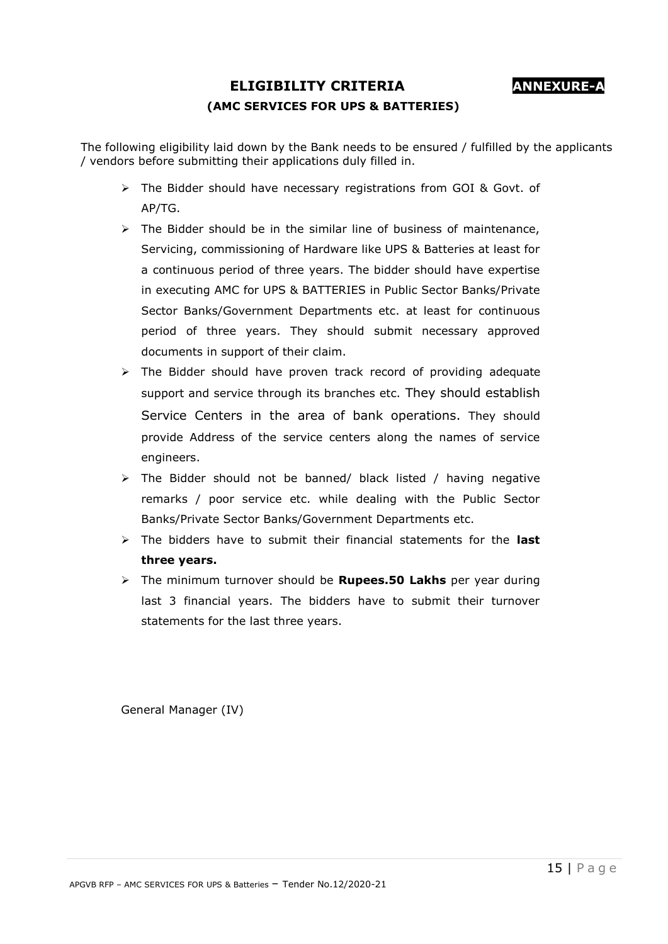# **ELIGIBILITY CRITERIA ANNEXURE-A (AMC SERVICES FOR UPS & BATTERIES)**

The following eligibility laid down by the Bank needs to be ensured / fulfilled by the applicants / vendors before submitting their applications duly filled in.

- $\triangleright$  The Bidder should have necessary registrations from GOI & Govt. of AP/TG.
- $\triangleright$  The Bidder should be in the similar line of business of maintenance, Servicing, commissioning of Hardware like UPS & Batteries at least for a continuous period of three years. The bidder should have expertise in executing AMC for UPS & BATTERIES in Public Sector Banks/Private Sector Banks/Government Departments etc. at least for continuous period of three years. They should submit necessary approved documents in support of their claim.
- $\triangleright$  The Bidder should have proven track record of providing adequate support and service through its branches etc. They should establish Service Centers in the area of bank operations. They should provide Address of the service centers along the names of service engineers.
- $\triangleright$  The Bidder should not be banned/ black listed / having negative remarks / poor service etc. while dealing with the Public Sector Banks/Private Sector Banks/Government Departments etc.
- The bidders have to submit their financial statements for the **last three years.**
- The minimum turnover should be **Rupees.50 Lakhs** per year during last 3 financial years. The bidders have to submit their turnover statements for the last three years.

General Manager (IV)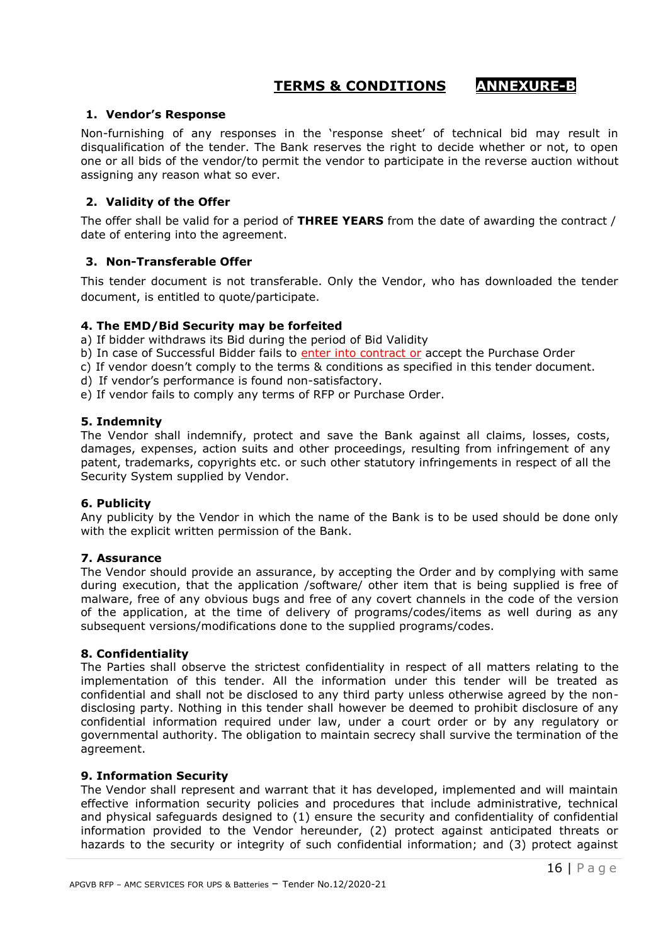# **TERMS & CONDITIONS ANNEXURE-B**

#### **1. Vendor's Response**

Non-furnishing of any responses in the 'response sheet' of technical bid may result in disqualification of the tender. The Bank reserves the right to decide whether or not, to open one or all bids of the vendor/to permit the vendor to participate in the reverse auction without assigning any reason what so ever.

#### **2. Validity of the Offer**

The offer shall be valid for a period of **THREE YEARS** from the date of awarding the contract / date of entering into the agreement.

#### **3. Non-Transferable Offer**

This tender document is not transferable. Only the Vendor, who has downloaded the tender document, is entitled to quote/participate.

#### **4. The EMD/Bid Security may be forfeited**

a) If bidder withdraws its Bid during the period of Bid Validity

b) In case of Successful Bidder fails to *enter into contract or* accept the Purchase Order

c) If vendor doesn't comply to the terms & conditions as specified in this tender document.

d) If vendor's performance is found non-satisfactory.

e) If vendor fails to comply any terms of RFP or Purchase Order.

#### **5. Indemnity**

The Vendor shall indemnify, protect and save the Bank against all claims, losses, costs, damages, expenses, action suits and other proceedings, resulting from infringement of any patent, trademarks, copyrights etc. or such other statutory infringements in respect of all the Security System supplied by Vendor.

#### **6. Publicity**

Any publicity by the Vendor in which the name of the Bank is to be used should be done only with the explicit written permission of the Bank.

#### **7. Assurance**

The Vendor should provide an assurance, by accepting the Order and by complying with same during execution, that the application /software/ other item that is being supplied is free of malware, free of any obvious bugs and free of any covert channels in the code of the version of the application, at the time of delivery of programs/codes/items as well during as any subsequent versions/modifications done to the supplied programs/codes.

#### **8. Confidentiality**

The Parties shall observe the strictest confidentiality in respect of all matters relating to the implementation of this tender. All the information under this tender will be treated as confidential and shall not be disclosed to any third party unless otherwise agreed by the nondisclosing party. Nothing in this tender shall however be deemed to prohibit disclosure of any confidential information required under law, under a court order or by any regulatory or governmental authority. The obligation to maintain secrecy shall survive the termination of the agreement.

#### **9. Information Security**

The Vendor shall represent and warrant that it has developed, implemented and will maintain effective information security policies and procedures that include administrative, technical and physical safeguards designed to (1) ensure the security and confidentiality of confidential information provided to the Vendor hereunder, (2) protect against anticipated threats or hazards to the security or integrity of such confidential information; and (3) protect against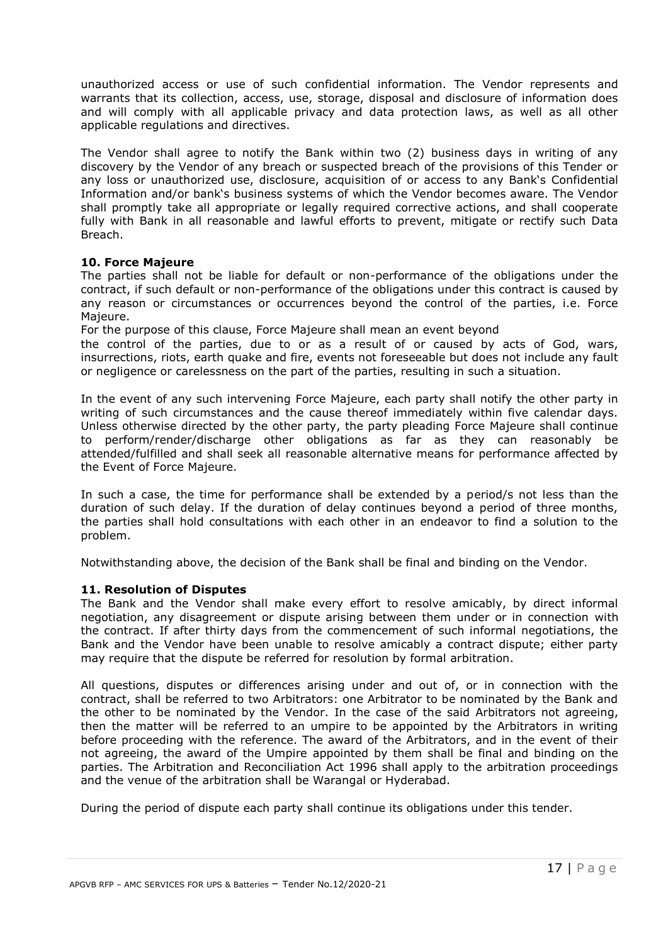unauthorized access or use of such confidential information. The Vendor represents and warrants that its collection, access, use, storage, disposal and disclosure of information does and will comply with all applicable privacy and data protection laws, as well as all other applicable regulations and directives.

The Vendor shall agree to notify the Bank within two (2) business days in writing of any discovery by the Vendor of any breach or suspected breach of the provisions of this Tender or any loss or unauthorized use, disclosure, acquisition of or access to any Bank's Confidential Information and/or bank's business systems of which the Vendor becomes aware. The Vendor shall promptly take all appropriate or legally required corrective actions, and shall cooperate fully with Bank in all reasonable and lawful efforts to prevent, mitigate or rectify such Data Breach.

#### **10. Force Majeure**

The parties shall not be liable for default or non-performance of the obligations under the contract, if such default or non-performance of the obligations under this contract is caused by any reason or circumstances or occurrences beyond the control of the parties, i.e. Force Majeure.

For the purpose of this clause, Force Majeure shall mean an event beyond

the control of the parties, due to or as a result of or caused by acts of God, wars, insurrections, riots, earth quake and fire, events not foreseeable but does not include any fault or negligence or carelessness on the part of the parties, resulting in such a situation.

In the event of any such intervening Force Majeure, each party shall notify the other party in writing of such circumstances and the cause thereof immediately within five calendar days. Unless otherwise directed by the other party, the party pleading Force Majeure shall continue to perform/render/discharge other obligations as far as they can reasonably be attended/fulfilled and shall seek all reasonable alternative means for performance affected by the Event of Force Majeure.

In such a case, the time for performance shall be extended by a period/s not less than the duration of such delay. If the duration of delay continues beyond a period of three months, the parties shall hold consultations with each other in an endeavor to find a solution to the problem.

Notwithstanding above, the decision of the Bank shall be final and binding on the Vendor.

#### **11. Resolution of Disputes**

The Bank and the Vendor shall make every effort to resolve amicably, by direct informal negotiation, any disagreement or dispute arising between them under or in connection with the contract. If after thirty days from the commencement of such informal negotiations, the Bank and the Vendor have been unable to resolve amicably a contract dispute; either party may require that the dispute be referred for resolution by formal arbitration.

All questions, disputes or differences arising under and out of, or in connection with the contract, shall be referred to two Arbitrators: one Arbitrator to be nominated by the Bank and the other to be nominated by the Vendor. In the case of the said Arbitrators not agreeing, then the matter will be referred to an umpire to be appointed by the Arbitrators in writing before proceeding with the reference. The award of the Arbitrators, and in the event of their not agreeing, the award of the Umpire appointed by them shall be final and binding on the parties. The Arbitration and Reconciliation Act 1996 shall apply to the arbitration proceedings and the venue of the arbitration shall be Warangal or Hyderabad.

During the period of dispute each party shall continue its obligations under this tender.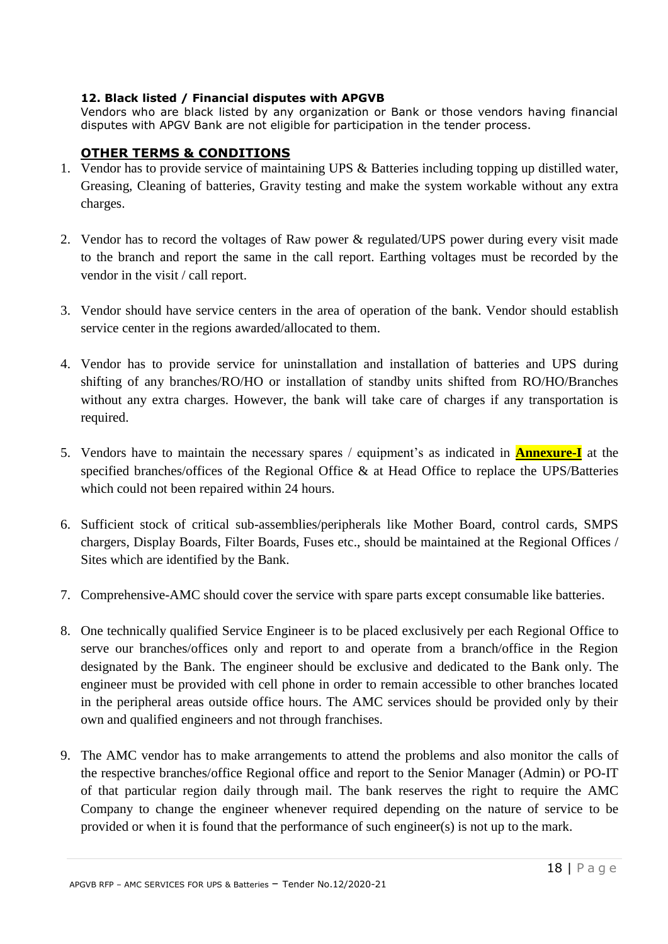## **12. Black listed / Financial disputes with APGVB**

Vendors who are black listed by any organization or Bank or those vendors having financial disputes with APGV Bank are not eligible for participation in the tender process.

# **OTHER TERMS & CONDITIONS**

- 1. Vendor has to provide service of maintaining UPS & Batteries including topping up distilled water, Greasing, Cleaning of batteries, Gravity testing and make the system workable without any extra charges.
- 2. Vendor has to record the voltages of Raw power & regulated/UPS power during every visit made to the branch and report the same in the call report. Earthing voltages must be recorded by the vendor in the visit / call report.
- 3. Vendor should have service centers in the area of operation of the bank. Vendor should establish service center in the regions awarded/allocated to them.
- 4. Vendor has to provide service for uninstallation and installation of batteries and UPS during shifting of any branches/RO/HO or installation of standby units shifted from RO/HO/Branches without any extra charges. However, the bank will take care of charges if any transportation is required.
- 5. Vendors have to maintain the necessary spares / equipment's as indicated in **Annexure-I** at the specified branches/offices of the Regional Office & at Head Office to replace the UPS/Batteries which could not been repaired within 24 hours.
- 6. Sufficient stock of critical sub-assemblies/peripherals like Mother Board, control cards, SMPS chargers, Display Boards, Filter Boards, Fuses etc., should be maintained at the Regional Offices / Sites which are identified by the Bank.
- 7. Comprehensive-AMC should cover the service with spare parts except consumable like batteries.
- 8. One technically qualified Service Engineer is to be placed exclusively per each Regional Office to serve our branches/offices only and report to and operate from a branch/office in the Region designated by the Bank. The engineer should be exclusive and dedicated to the Bank only. The engineer must be provided with cell phone in order to remain accessible to other branches located in the peripheral areas outside office hours. The AMC services should be provided only by their own and qualified engineers and not through franchises.
- 9. The AMC vendor has to make arrangements to attend the problems and also monitor the calls of the respective branches/office Regional office and report to the Senior Manager (Admin) or PO-IT of that particular region daily through mail. The bank reserves the right to require the AMC Company to change the engineer whenever required depending on the nature of service to be provided or when it is found that the performance of such engineer(s) is not up to the mark.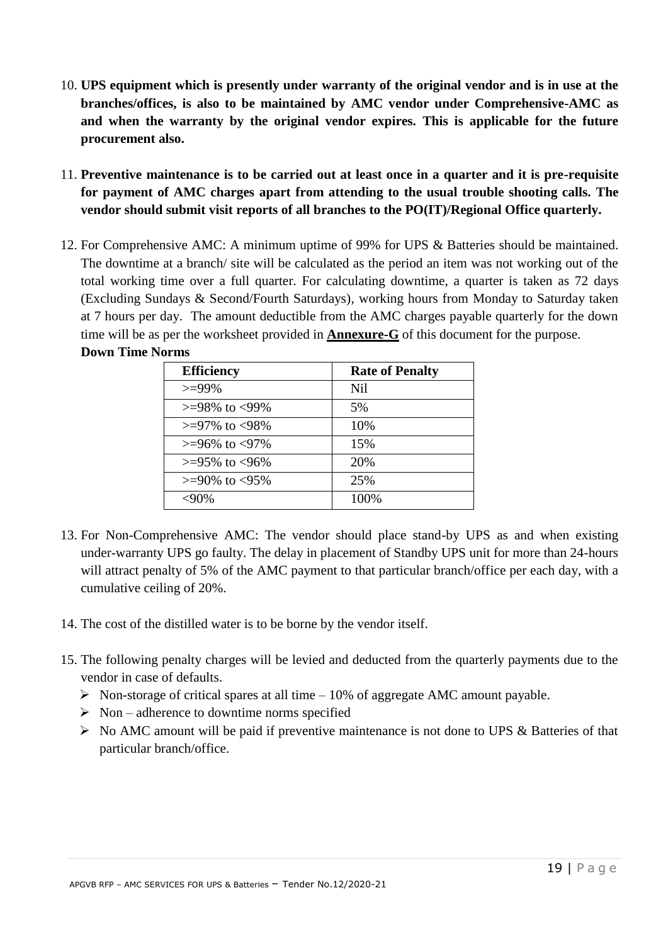- 10. **UPS equipment which is presently under warranty of the original vendor and is in use at the branches/offices, is also to be maintained by AMC vendor under Comprehensive-AMC as and when the warranty by the original vendor expires. This is applicable for the future procurement also.**
- 11. **Preventive maintenance is to be carried out at least once in a quarter and it is pre-requisite for payment of AMC charges apart from attending to the usual trouble shooting calls. The vendor should submit visit reports of all branches to the PO(IT)/Regional Office quarterly.**
- 12. For Comprehensive AMC: A minimum uptime of 99% for UPS & Batteries should be maintained. The downtime at a branch/ site will be calculated as the period an item was not working out of the total working time over a full quarter. For calculating downtime, a quarter is taken as 72 days (Excluding Sundays & Second/Fourth Saturdays), working hours from Monday to Saturday taken at 7 hours per day. The amount deductible from the AMC charges payable quarterly for the down time will be as per the worksheet provided in **Annexure-G** of this document for the purpose. **Down Time Norms**

| <b>Efficiency</b>      | <b>Rate of Penalty</b> |
|------------------------|------------------------|
| $>=99\%$               | Nil                    |
| $> = 98\%$ to $< 99\%$ | 5%                     |
| $> = 97\%$ to $< 98\%$ | 10%                    |
| $> = 96\%$ to $< 97\%$ | 15%                    |
| $> = 95\%$ to $< 96\%$ | 20%                    |
| $> = 90\%$ to $< 95\%$ | 25%                    |
| $<90\%$                | 100%                   |

- 13. For Non-Comprehensive AMC: The vendor should place stand-by UPS as and when existing under-warranty UPS go faulty. The delay in placement of Standby UPS unit for more than 24-hours will attract penalty of 5% of the AMC payment to that particular branch/office per each day, with a cumulative ceiling of 20%.
- 14. The cost of the distilled water is to be borne by the vendor itself.
- 15. The following penalty charges will be levied and deducted from the quarterly payments due to the vendor in case of defaults.
	- $\triangleright$  Non-storage of critical spares at all time 10% of aggregate AMC amount payable.
	- $\triangleright$  Non adherence to downtime norms specified
	- $\triangleright$  No AMC amount will be paid if preventive maintenance is not done to UPS & Batteries of that particular branch/office.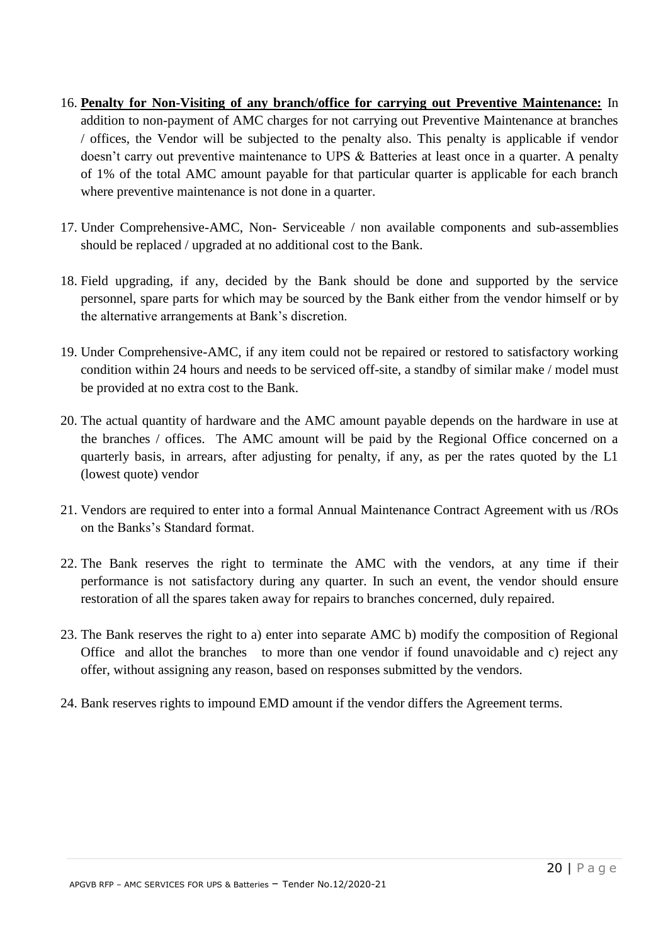- 16. **Penalty for Non-Visiting of any branch/office for carrying out Preventive Maintenance:** In addition to non-payment of AMC charges for not carrying out Preventive Maintenance at branches / offices, the Vendor will be subjected to the penalty also. This penalty is applicable if vendor doesn't carry out preventive maintenance to UPS & Batteries at least once in a quarter. A penalty of 1% of the total AMC amount payable for that particular quarter is applicable for each branch where preventive maintenance is not done in a quarter.
- 17. Under Comprehensive-AMC, Non- Serviceable / non available components and sub-assemblies should be replaced / upgraded at no additional cost to the Bank.
- 18. Field upgrading, if any, decided by the Bank should be done and supported by the service personnel, spare parts for which may be sourced by the Bank either from the vendor himself or by the alternative arrangements at Bank's discretion.
- 19. Under Comprehensive-AMC, if any item could not be repaired or restored to satisfactory working condition within 24 hours and needs to be serviced off-site, a standby of similar make / model must be provided at no extra cost to the Bank.
- 20. The actual quantity of hardware and the AMC amount payable depends on the hardware in use at the branches / offices. The AMC amount will be paid by the Regional Office concerned on a quarterly basis, in arrears, after adjusting for penalty, if any, as per the rates quoted by the L1 (lowest quote) vendor
- 21. Vendors are required to enter into a formal Annual Maintenance Contract Agreement with us /ROs on the Banks's Standard format.
- 22. The Bank reserves the right to terminate the AMC with the vendors, at any time if their performance is not satisfactory during any quarter. In such an event, the vendor should ensure restoration of all the spares taken away for repairs to branches concerned, duly repaired.
- 23. The Bank reserves the right to a) enter into separate AMC b) modify the composition of Regional Office and allot the branches to more than one vendor if found unavoidable and c) reject any offer, without assigning any reason, based on responses submitted by the vendors.
- 24. Bank reserves rights to impound EMD amount if the vendor differs the Agreement terms.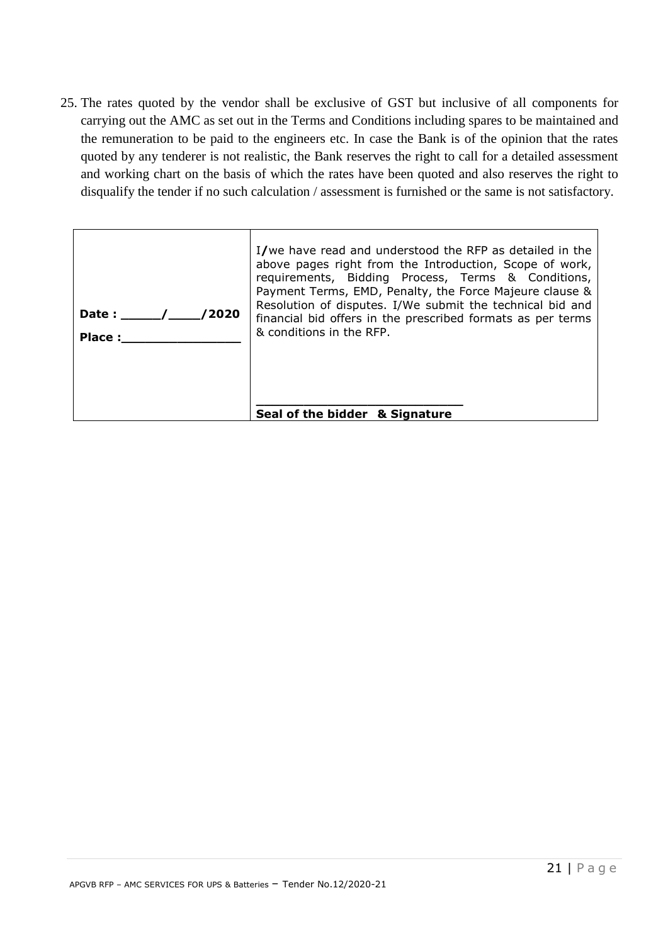25. The rates quoted by the vendor shall be exclusive of GST but inclusive of all components for carrying out the AMC as set out in the Terms and Conditions including spares to be maintained and the remuneration to be paid to the engineers etc. In case the Bank is of the opinion that the rates quoted by any tenderer is not realistic, the Bank reserves the right to call for a detailed assessment and working chart on the basis of which the rates have been quoted and also reserves the right to disqualify the tender if no such calculation / assessment is furnished or the same is not satisfactory.

| 2020<br>Date :<br>Place: | I/we have read and understood the RFP as detailed in the<br>above pages right from the Introduction, Scope of work,<br>requirements, Bidding Process, Terms & Conditions,<br>Payment Terms, EMD, Penalty, the Force Majeure clause &<br>Resolution of disputes. I/We submit the technical bid and<br>financial bid offers in the prescribed formats as per terms<br>& conditions in the RFP. |
|--------------------------|----------------------------------------------------------------------------------------------------------------------------------------------------------------------------------------------------------------------------------------------------------------------------------------------------------------------------------------------------------------------------------------------|
|                          | Seal of the bidder & Signature                                                                                                                                                                                                                                                                                                                                                               |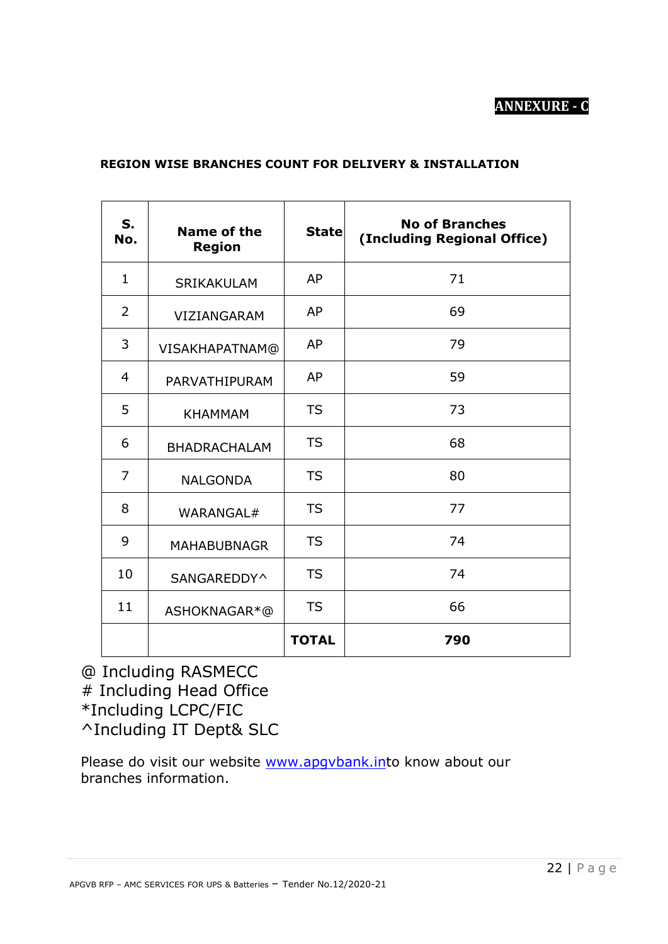# **ANNEXURE - C**

## **REGION WISE BRANCHES COUNT FOR DELIVERY & INSTALLATION**

| S.<br>No.    | Name of the<br><b>Region</b> | <b>State</b> | <b>No of Branches</b><br>(Including Regional Office) |
|--------------|------------------------------|--------------|------------------------------------------------------|
| $\mathbf{1}$ | SRIKAKULAM                   | AP           | 71                                                   |
| 2            | VIZIANGARAM                  | AP           | 69                                                   |
| 3            | VISAKHAPATNAM@               | AP           | 79                                                   |
| 4            | PARVATHIPURAM                | AP           | 59                                                   |
| 5            | <b>KHAMMAM</b>               | <b>TS</b>    | 73                                                   |
| 6            | <b>BHADRACHALAM</b>          | <b>TS</b>    | 68                                                   |
| 7            | <b>NALGONDA</b>              | <b>TS</b>    | 80                                                   |
| 8            | WARANGAL#                    | <b>TS</b>    | 77                                                   |
| 9            | <b>MAHABUBNAGR</b>           | <b>TS</b>    | 74                                                   |
| 10           | SANGAREDDY^                  | <b>TS</b>    | 74                                                   |
| 11           | ASHOKNAGAR*@                 | <b>TS</b>    | 66                                                   |
|              |                              | <b>TOTAL</b> | 790                                                  |

@ Including RASMECC  $#$  Including Head Office \*Including LCPC/FIC ^Including IT Dept& SLC

Please do visit our website [www.apgvbank.int](http://www.apgvbank.in/)o know about our branches information.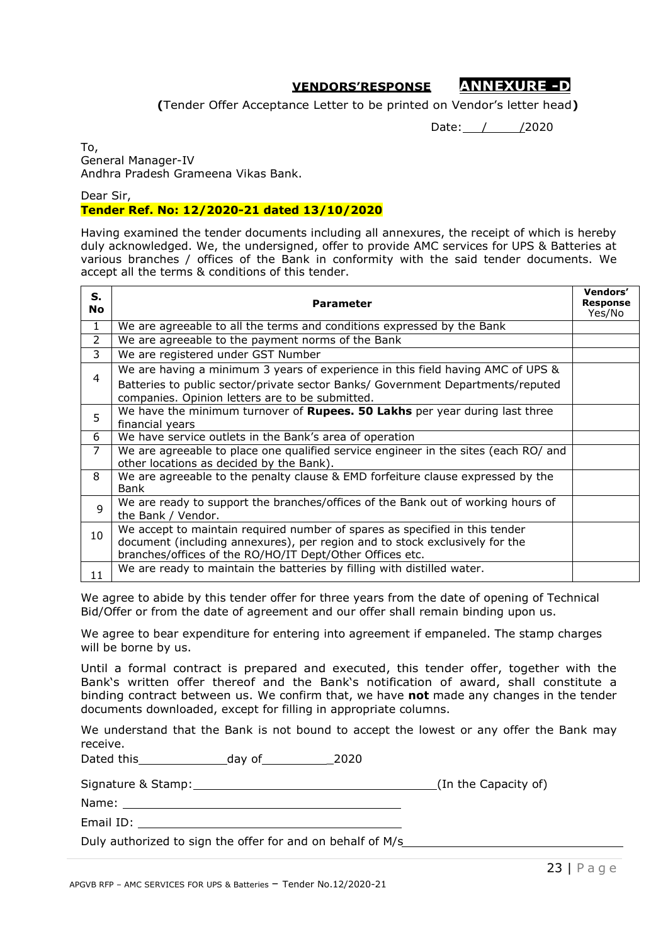# **VENDORS'RESPONSE ANNEXURE -D**

**(**Tender Offer Acceptance Letter to be printed on Vendor's letter head**)**

Date: / / /2020

To, General Manager-IV Andhra Pradesh Grameena Vikas Bank.

Dear Sir,

#### **Tender Ref. No: 12/2020-21 dated 13/10/2020**

Having examined the tender documents including all annexures, the receipt of which is hereby duly acknowledged. We, the undersigned, offer to provide AMC services for UPS & Batteries at various branches / offices of the Bank in conformity with the said tender documents. We accept all the terms & conditions of this tender.

| s.<br><b>No</b> | Parameter                                                                                                                          | Vendors'<br><b>Response</b><br>Yes/No |
|-----------------|------------------------------------------------------------------------------------------------------------------------------------|---------------------------------------|
| 1               | We are agreeable to all the terms and conditions expressed by the Bank                                                             |                                       |
| 2               | We are agreeable to the payment norms of the Bank                                                                                  |                                       |
| 3               | We are registered under GST Number                                                                                                 |                                       |
|                 | We are having a minimum 3 years of experience in this field having AMC of UPS &                                                    |                                       |
| 4               | Batteries to public sector/private sector Banks/ Government Departments/reputed<br>companies. Opinion letters are to be submitted. |                                       |
| 5               | We have the minimum turnover of <b>Rupees. 50 Lakhs</b> per year during last three<br>financial years                              |                                       |
| 6               | We have service outlets in the Bank's area of operation                                                                            |                                       |
| 7               | We are agreeable to place one qualified service engineer in the sites (each RO/ and<br>other locations as decided by the Bank).    |                                       |
| 8               | We are agreeable to the penalty clause & EMD forfeiture clause expressed by the<br>Bank                                            |                                       |
| 9               | We are ready to support the branches/offices of the Bank out of working hours of<br>the Bank / Vendor.                             |                                       |
| 10              | We accept to maintain required number of spares as specified in this tender                                                        |                                       |
|                 | document (including annexures), per region and to stock exclusively for the                                                        |                                       |
|                 | branches/offices of the RO/HO/IT Dept/Other Offices etc.                                                                           |                                       |
| 11              | We are ready to maintain the batteries by filling with distilled water.                                                            |                                       |

We agree to abide by this tender offer for three years from the date of opening of Technical Bid/Offer or from the date of agreement and our offer shall remain binding upon us.

We agree to bear expenditure for entering into agreement if empaneled. The stamp charges will be borne by us.

Until a formal contract is prepared and executed, this tender offer, together with the Bank's written offer thereof and the Bank's notification of award, shall constitute a binding contract between us. We confirm that, we have **not** made any changes in the tender documents downloaded, except for filling in appropriate columns.

We understand that the Bank is not bound to accept the lowest or any offer the Bank may receive.

Dated this day of \_2020

Signature & Stamp: (In the Capacity of)

Name:

Email ID:

Duly authorized to sign the offer for and on behalf of M/s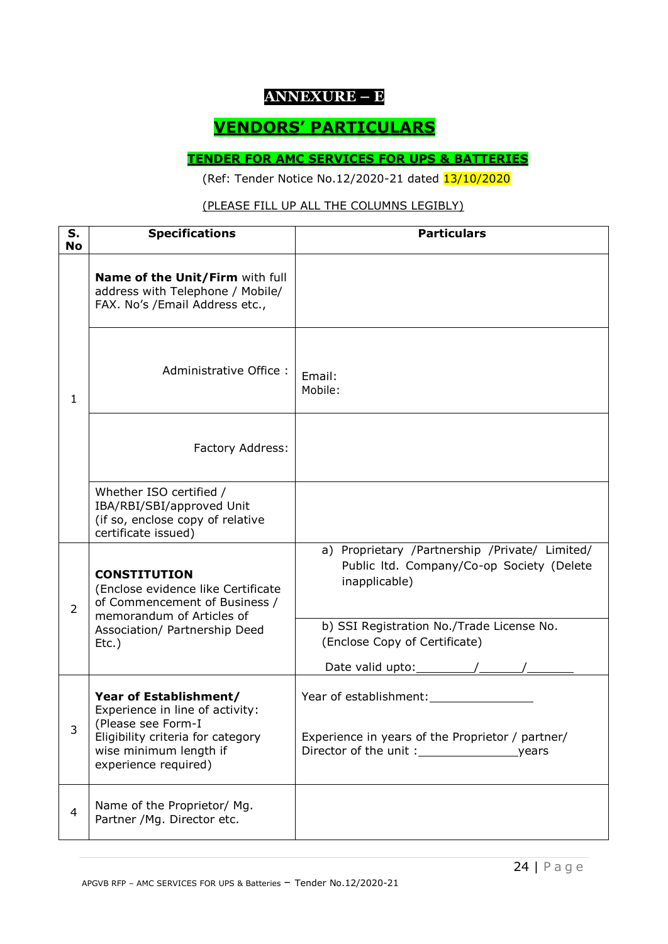# **ANNEXURE – E**

# **VENDORS' PARTICULARS**

# **TENDER FOR AMC SERVICES FOR UPS & BATTERIES**

(Ref: Tender Notice No.12/2020-21 dated 13/10/2020

## (PLEASE FILL UP ALL THE COLUMNS LEGIBLY)

| S.<br><b>No</b> | <b>Specifications</b>                                                                                                | <b>Particulars</b>                                                                                           |
|-----------------|----------------------------------------------------------------------------------------------------------------------|--------------------------------------------------------------------------------------------------------------|
|                 | Name of the Unit/Firm with full<br>address with Telephone / Mobile/<br>FAX. No's /Email Address etc.,                |                                                                                                              |
| 1               | Administrative Office:                                                                                               | Email:<br>Mobile:                                                                                            |
|                 | Factory Address:                                                                                                     |                                                                                                              |
|                 | Whether ISO certified /<br>IBA/RBI/SBI/approved Unit<br>(if so, enclose copy of relative<br>certificate issued)      |                                                                                                              |
| $\overline{2}$  | <b>CONSTITUTION</b><br>(Enclose evidence like Certificate<br>of Commencement of Business /                           | a) Proprietary /Partnership /Private/ Limited/<br>Public Itd. Company/Co-op Society (Delete<br>inapplicable) |
|                 | memorandum of Articles of<br>Association/ Partnership Deed<br>$Etc.$ )                                               | b) SSI Registration No./Trade License No.<br>(Enclose Copy of Certificate)                                   |
| 3               | Year of Establishment/<br>Experience in line of activity:<br>(Please see Form-I<br>Eligibility criteria for category | Year of establishment:<br>Experience in years of the Proprietor / partner/                                   |
|                 | wise minimum length if<br>experience required)                                                                       |                                                                                                              |
| $\overline{4}$  | Name of the Proprietor/ Mg.<br>Partner / Mg. Director etc.                                                           |                                                                                                              |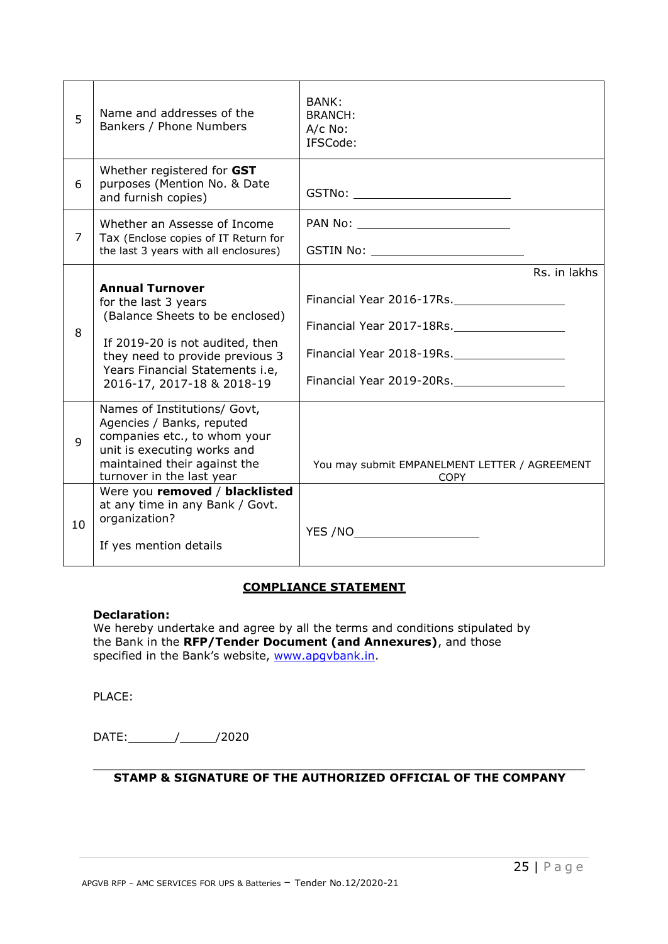| 5  | Name and addresses of the<br>Bankers / Phone Numbers                                                                                                                                                                     | <b>BANK:</b><br><b>BRANCH:</b><br>A/c No:<br>IFSCode:                                                                            |
|----|--------------------------------------------------------------------------------------------------------------------------------------------------------------------------------------------------------------------------|----------------------------------------------------------------------------------------------------------------------------------|
| 6  | Whether registered for GST<br>purposes (Mention No. & Date<br>and furnish copies)                                                                                                                                        | GSTNo: ____________________________                                                                                              |
| 7  | Whether an Assesse of Income<br>Tax (Enclose copies of IT Return for<br>the last 3 years with all enclosures)                                                                                                            | GSTIN No: ________________________________                                                                                       |
| 8  | <b>Annual Turnover</b><br>for the last 3 years<br>(Balance Sheets to be enclosed)<br>If 2019-20 is not audited, then<br>they need to provide previous 3<br>Years Financial Statements i.e,<br>2016-17, 2017-18 & 2018-19 | Rs. in lakhs<br>Financial Year 2016-17Rs.<br>Financial Year 2017-18Rs.<br>Financial Year 2018-19Rs.<br>Financial Year 2019-20Rs. |
| 9  | Names of Institutions/ Govt,<br>Agencies / Banks, reputed<br>companies etc., to whom your<br>unit is executing works and<br>maintained their against the<br>turnover in the last year                                    | You may submit EMPANELMENT LETTER / AGREEMENT<br><b>COPY</b>                                                                     |
| 10 | Were you removed / blacklisted<br>at any time in any Bank / Govt.<br>organization?<br>If yes mention details                                                                                                             | YES /NO_______________________                                                                                                   |

#### **COMPLIANCE STATEMENT**

#### **Declaration:**

We hereby undertake and agree by all the terms and conditions stipulated by the Bank in the **RFP/Tender Document (and Annexures)**, and those specified in the Bank's website, www.apqvbank.in.

PLACE:

DATE: // /2020

#### $\_$  , and the set of the set of the set of the set of the set of the set of the set of the set of the set of the set of the set of the set of the set of the set of the set of the set of the set of the set of the set of th **STAMP & SIGNATURE OF THE AUTHORIZED OFFICIAL OF THE COMPANY**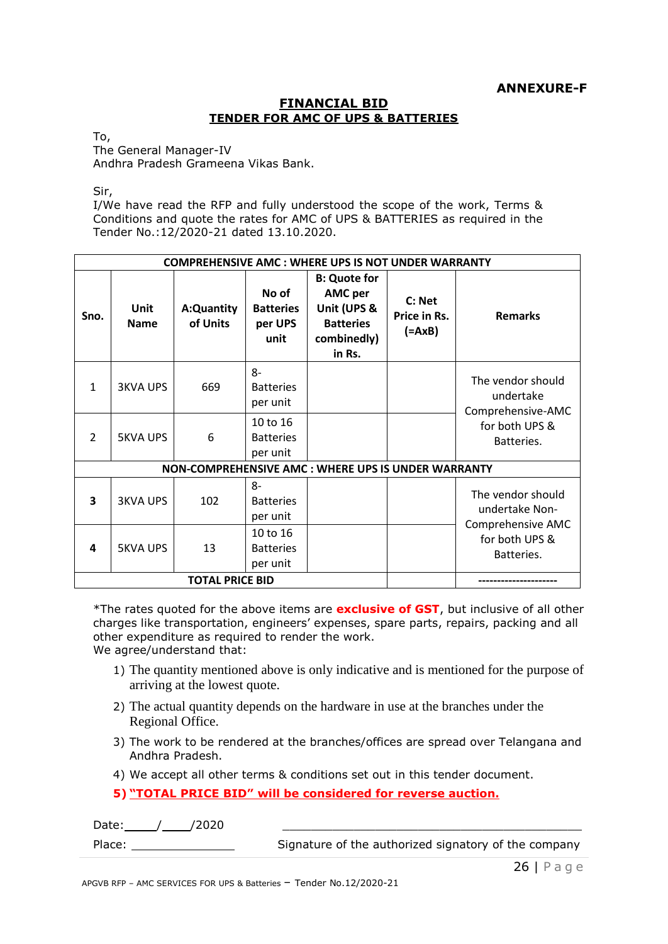#### **FINANCIAL BID TENDER FOR AMC OF UPS & BATTERIES**

To,

The General Manager-IV Andhra Pradesh Grameena Vikas Bank.

Sir,

I/We have read the RFP and fully understood the scope of the work, Terms & Conditions and quote the rates for AMC of UPS & BATTERIES as required in the Tender No.:12/2020-21 dated 13.10.2020.

| <b>COMPREHENSIVE AMC: WHERE UPS IS NOT UNDER WARRANTY</b> |                            |                        |                                                |                                                                                                   |                                    |                                                                                          |
|-----------------------------------------------------------|----------------------------|------------------------|------------------------------------------------|---------------------------------------------------------------------------------------------------|------------------------------------|------------------------------------------------------------------------------------------|
| Sno.                                                      | <b>Unit</b><br><b>Name</b> | A:Quantity<br>of Units | No of<br><b>Batteries</b><br>per UPS<br>unit   | <b>B: Quote for</b><br><b>AMC</b> per<br>Unit (UPS &<br><b>Batteries</b><br>combinedly)<br>in Rs. | C: Net<br>Price in Rs.<br>$(=AxB)$ | <b>Remarks</b>                                                                           |
| 1                                                         | <b>3KVA UPS</b>            | 669                    | $8-$<br><b>Batteries</b><br>per unit           |                                                                                                   |                                    | The vendor should<br>undertake<br>Comprehensive-AMC                                      |
| $\mathcal{P}$                                             | <b>5KVA UPS</b>            | 6                      | 10 to 16<br><b>Batteries</b><br>per unit       |                                                                                                   |                                    | for both UPS &<br>Batteries.                                                             |
| NON-COMPREHENSIVE AMC: WHERE UPS IS UNDER WARRANTY        |                            |                        |                                                |                                                                                                   |                                    |                                                                                          |
| 3                                                         | <b>3KVA UPS</b>            | 102                    | 8-<br><b>Batteries</b><br>per unit<br>10 to 16 |                                                                                                   |                                    | The vendor should<br>undertake Non-<br>Comprehensive AMC<br>for both UPS &<br>Batteries. |
| 4                                                         | <b>5KVA UPS</b>            | 13                     | <b>Batteries</b><br>per unit                   |                                                                                                   |                                    |                                                                                          |
| <b>TOTAL PRICE BID</b>                                    |                            |                        |                                                |                                                                                                   |                                    |                                                                                          |

\*The rates quoted for the above items are **exclusive of GST**, but inclusive of all other charges like transportation, engineers' expenses, spare parts, repairs, packing and all other expenditure as required to render the work.

We agree/understand that:

- 1) The quantity mentioned above is only indicative and is mentioned for the purpose of arriving at the lowest quote.
- 2) The actual quantity depends on the hardware in use at the branches under the Regional Office.
- 3) The work to be rendered at the branches/offices are spread over Telangana and Andhra Pradesh.
- 4) We accept all other terms & conditions set out in this tender document.
- **5) "TOTAL PRICE BID" will be considered for reverse auction.**

| Date:<br>/2020 |                                                      |
|----------------|------------------------------------------------------|
| Place:         | Signature of the authorized signatory of the company |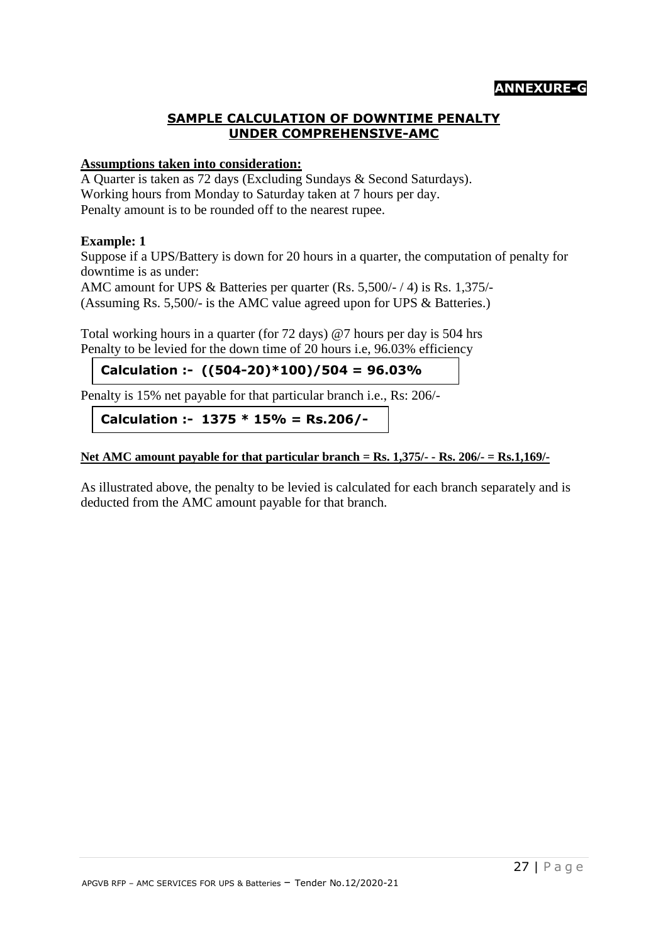# **SAMPLE CALCULATION OF DOWNTIME PENALTY UNDER COMPREHENSIVE-AMC**

# **Assumptions taken into consideration:**

A Quarter is taken as 72 days (Excluding Sundays & Second Saturdays). Working hours from Monday to Saturday taken at 7 hours per day. Penalty amount is to be rounded off to the nearest rupee.

# **Example: 1**

Suppose if a UPS/Battery is down for 20 hours in a quarter, the computation of penalty for downtime is as under:

AMC amount for UPS & Batteries per quarter (Rs. 5,500/- / 4) is Rs. 1,375/- (Assuming Rs. 5,500/- is the AMC value agreed upon for UPS & Batteries.)

Total working hours in a quarter (for 72 days) @7 hours per day is 504 hrs Penalty to be levied for the down time of 20 hours i.e, 96.03% efficiency

**Calculation :- ((504-20)\*100)/504 = 96.03%** 

Penalty is 15% net payable for that particular branch i.e., Rs: 206/- **596.03%96.03**

**Calculation :- 1375 \* 15% = Rs.206/-**

**Net AMC amount payable for that particular branch = Rs. 1,375/- - Rs. 206/- = Rs.1,169/-**

As illustrated above, the penalty to be levied is calculated for each branch separately and is deducted from the AMC amount payable for that branch.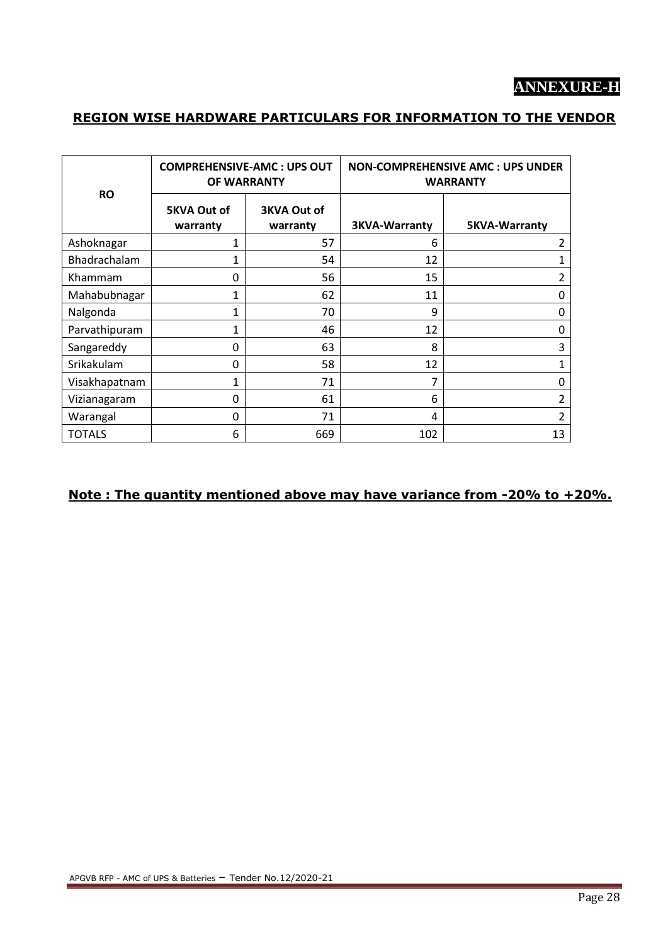# **ANNEXURE-H**

# **REGION WISE HARDWARE PARTICULARS FOR INFORMATION TO THE VENDOR**

|               |                                | <b>COMPREHENSIVE-AMC: UPS OUT</b><br>OF WARRANTY | <b>NON-COMPREHENSIVE AMC: UPS UNDER</b><br><b>WARRANTY</b> |                      |
|---------------|--------------------------------|--------------------------------------------------|------------------------------------------------------------|----------------------|
| <b>RO</b>     | <b>5KVA Out of</b><br>warranty | <b>3KVA Out of</b><br>warranty                   | <b>3KVA-Warranty</b>                                       | <b>5KVA-Warranty</b> |
| Ashoknagar    | 1                              | 57                                               | 6                                                          | $\overline{2}$       |
| Bhadrachalam  | 1                              | 54                                               | 12                                                         | 1                    |
| Khammam       | 0                              | 56                                               | 15                                                         | $\overline{2}$       |
| Mahabubnagar  | $\mathbf{1}$                   | 62                                               | 11                                                         | 0                    |
| Nalgonda      | $\mathbf{1}$                   | 70                                               | 9                                                          | 0                    |
| Parvathipuram | 1                              | 46                                               | 12                                                         | 0                    |
| Sangareddy    | 0                              | 63                                               | 8                                                          | 3                    |
| Srikakulam    | 0                              | 58                                               | 12                                                         | $\mathbf{1}$         |
| Visakhapatnam | 1                              | 71                                               | 7                                                          | 0                    |
| Vizianagaram  | $\mathbf 0$                    | 61                                               | 6                                                          | 2                    |
| Warangal      | $\mathbf 0$                    | 71                                               | 4                                                          | $\overline{2}$       |
| <b>TOTALS</b> | 6                              | 669                                              | 102                                                        | 13                   |

# **Note : The quantity mentioned above may have variance from -20% to +20%.**